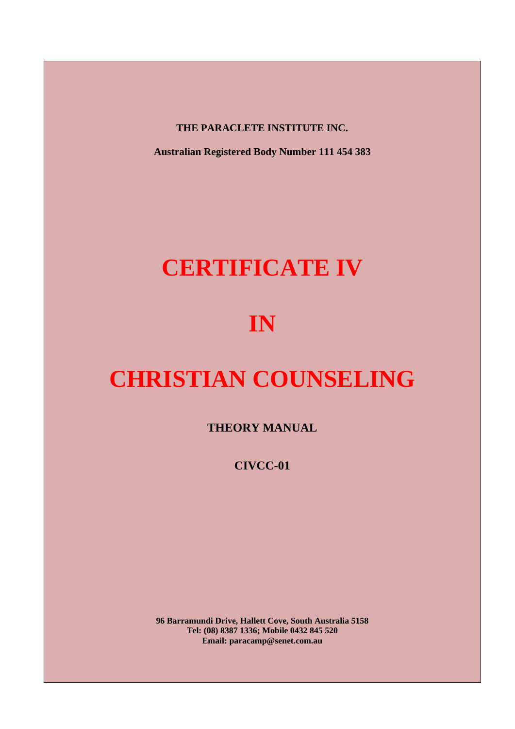**THE PARACLETE INSTITUTE INC.** 

**Australian Registered Body Number 111 454 383** 

# **CERTIFICATE IV**

# **IN**

# **CHRISTIAN COUNSELING**

**THEORY MANUAL** 

**CIVCC-01** 

**96 Barramundi Drive, Hallett Cove, South Australia 5158 Tel: (08) 8387 1336; Mobile 0432 845 520 Email: paracamp@senet.com.au**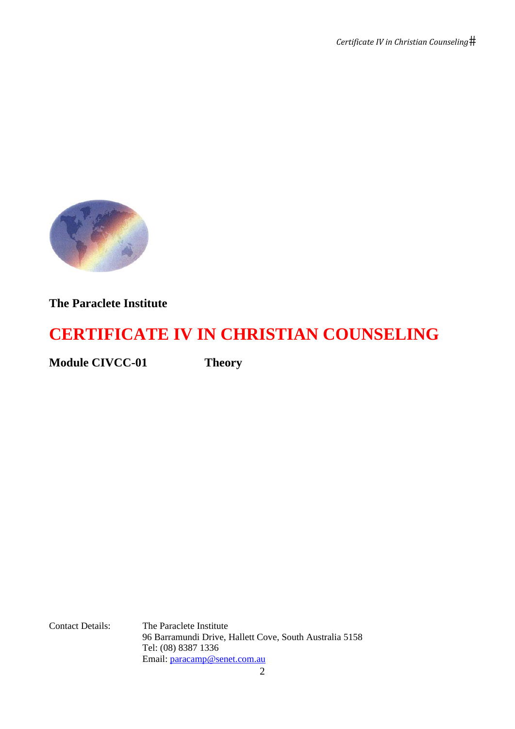

# **The Paraclete Institute**

# **CERTIFICATE IV IN CHRISTIAN COUNSELING**

**Module CIVCC-01 Theory** 

Contact Details: The Paraclete Institute 96 Barramundi Drive, Hallett Cove, South Australia 5158 Tel: (08) 8387 1336 Email: paracamp@senet.com.au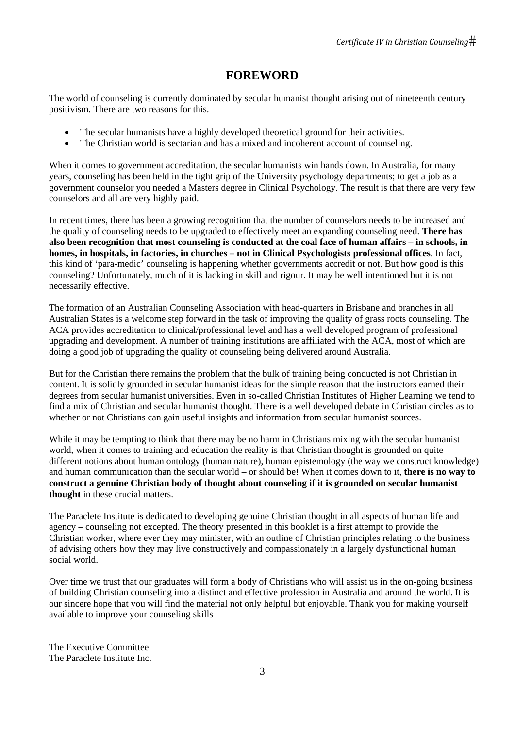# **FOREWORD**

The world of counseling is currently dominated by secular humanist thought arising out of nineteenth century positivism. There are two reasons for this.

- The secular humanists have a highly developed theoretical ground for their activities.
- The Christian world is sectarian and has a mixed and incoherent account of counseling.

When it comes to government accreditation, the secular humanists win hands down. In Australia, for many years, counseling has been held in the tight grip of the University psychology departments; to get a job as a government counselor you needed a Masters degree in Clinical Psychology. The result is that there are very few counselors and all are very highly paid.

In recent times, there has been a growing recognition that the number of counselors needs to be increased and the quality of counseling needs to be upgraded to effectively meet an expanding counseling need. **There has also been recognition that most counseling is conducted at the coal face of human affairs – in schools, in homes, in hospitals, in factories, in churches – not in Clinical Psychologists professional offices**. In fact, this kind of 'para-medic' counseling is happening whether governments accredit or not. But how good is this counseling? Unfortunately, much of it is lacking in skill and rigour. It may be well intentioned but it is not necessarily effective.

The formation of an Australian Counseling Association with head-quarters in Brisbane and branches in all Australian States is a welcome step forward in the task of improving the quality of grass roots counseling. The ACA provides accreditation to clinical/professional level and has a well developed program of professional upgrading and development. A number of training institutions are affiliated with the ACA, most of which are doing a good job of upgrading the quality of counseling being delivered around Australia.

But for the Christian there remains the problem that the bulk of training being conducted is not Christian in content. It is solidly grounded in secular humanist ideas for the simple reason that the instructors earned their degrees from secular humanist universities. Even in so-called Christian Institutes of Higher Learning we tend to find a mix of Christian and secular humanist thought. There is a well developed debate in Christian circles as to whether or not Christians can gain useful insights and information from secular humanist sources.

While it may be tempting to think that there may be no harm in Christians mixing with the secular humanist world, when it comes to training and education the reality is that Christian thought is grounded on quite different notions about human ontology (human nature), human epistemology (the way we construct knowledge) and human communication than the secular world – or should be! When it comes down to it, **there is no way to construct a genuine Christian body of thought about counseling if it is grounded on secular humanist thought** in these crucial matters.

The Paraclete Institute is dedicated to developing genuine Christian thought in all aspects of human life and agency – counseling not excepted. The theory presented in this booklet is a first attempt to provide the Christian worker, where ever they may minister, with an outline of Christian principles relating to the business of advising others how they may live constructively and compassionately in a largely dysfunctional human social world.

Over time we trust that our graduates will form a body of Christians who will assist us in the on-going business of building Christian counseling into a distinct and effective profession in Australia and around the world. It is our sincere hope that you will find the material not only helpful but enjoyable. Thank you for making yourself available to improve your counseling skills

The Executive Committee The Paraclete Institute Inc.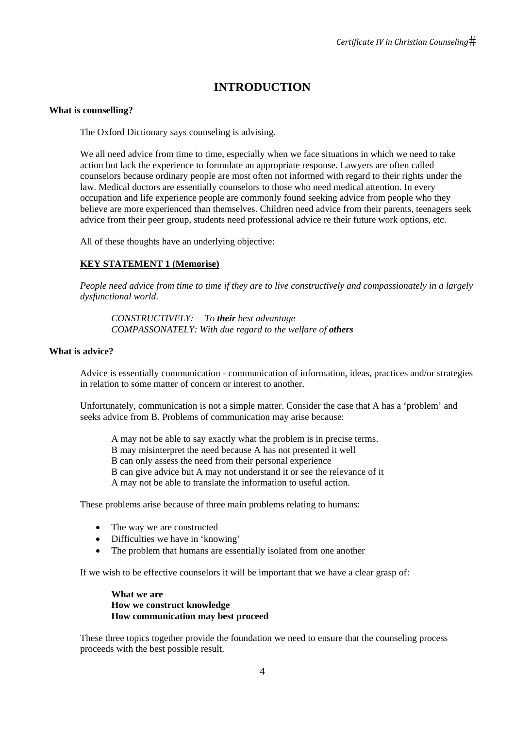# **INTRODUCTION**

## **What is counselling?**

The Oxford Dictionary says counseling is advising.

We all need advice from time to time, especially when we face situations in which we need to take action but lack the experience to formulate an appropriate response. Lawyers are often called counselors because ordinary people are most often not informed with regard to their rights under the law. Medical doctors are essentially counselors to those who need medical attention. In every occupation and life experience people are commonly found seeking advice from people who they believe are more experienced than themselves. Children need advice from their parents, teenagers seek advice from their peer group, students need professional advice re their future work options, etc.

All of these thoughts have an underlying objective:

# **KEY STATEMENT 1 (Memorise)**

*People need advice from time to time if they are to live constructively and compassionately in a largely dysfunctional world*.

*CONSTRUCTIVELY: To their best advantage COMPASSONATELY: With due regard to the welfare of others* 

## **What is advice?**

Advice is essentially communication - communication of information, ideas, practices and/or strategies in relation to some matter of concern or interest to another.

Unfortunately, communication is not a simple matter. Consider the case that A has a 'problem' and seeks advice from B. Problems of communication may arise because:

 A may not be able to say exactly what the problem is in precise terms. B may misinterpret the need because A has not presented it well B can only assess the need from their personal experience B can give advice but A may not understand it or see the relevance of it A may not be able to translate the information to useful action.

These problems arise because of three main problems relating to humans:

- The way we are constructed
- Difficulties we have in 'knowing'
- The problem that humans are essentially isolated from one another

If we wish to be effective counselors it will be important that we have a clear grasp of:

**What we are How we construct knowledge How communication may best proceed** 

These three topics together provide the foundation we need to ensure that the counseling process proceeds with the best possible result.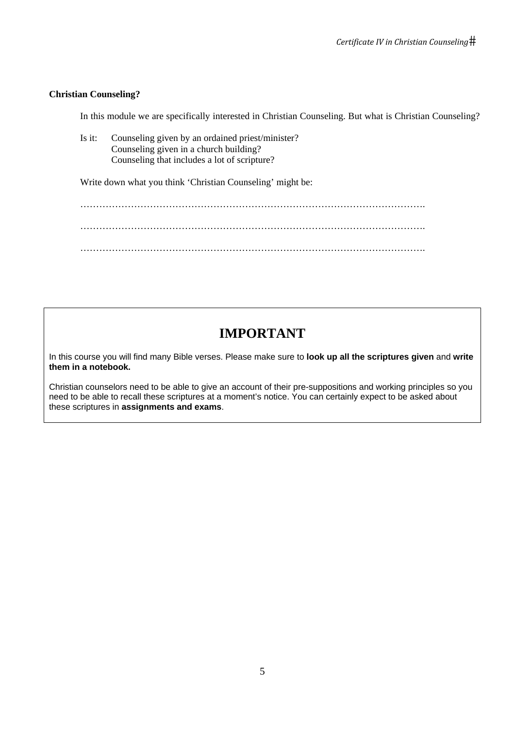## **Christian Counseling?**

In this module we are specifically interested in Christian Counseling. But what is Christian Counseling?

Is it: Counseling given by an ordained priest/minister? Counseling given in a church building? Counseling that includes a lot of scripture?

Write down what you think 'Christian Counseling' might be:

 ………………………………………………………………………………………………. ………………………………………………………………………………………………. ……………………………………………………………………………………………….

# **IMPORTANT**

In this course you will find many Bible verses. Please make sure to **look up all the scriptures given** and **write them in a notebook.** 

Christian counselors need to be able to give an account of their pre-suppositions and working principles so you need to be able to recall these scriptures at a moment's notice. You can certainly expect to be asked about these scriptures in **assignments and exams**.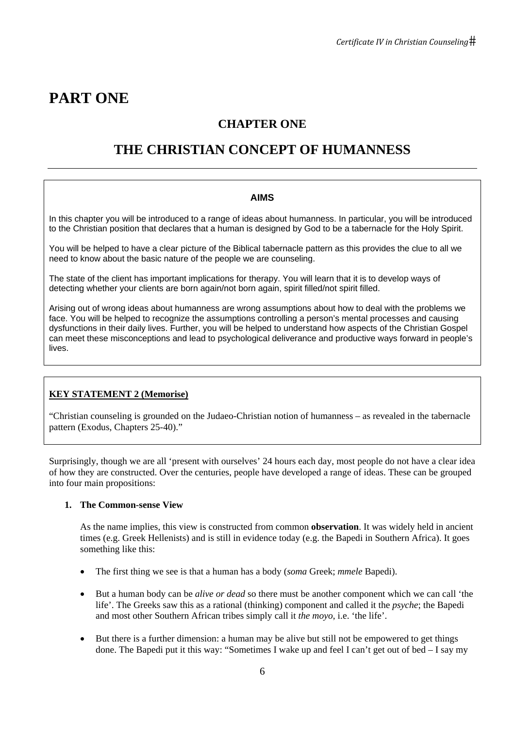# **PART ONE**

# **CHAPTER ONE**

# **THE CHRISTIAN CONCEPT OF HUMANNESS**

## **AIMS**

In this chapter you will be introduced to a range of ideas about humanness. In particular, you will be introduced to the Christian position that declares that a human is designed by God to be a tabernacle for the Holy Spirit.

You will be helped to have a clear picture of the Biblical tabernacle pattern as this provides the clue to all we need to know about the basic nature of the people we are counseling.

The state of the client has important implications for therapy. You will learn that it is to develop ways of detecting whether your clients are born again/not born again, spirit filled/not spirit filled.

Arising out of wrong ideas about humanness are wrong assumptions about how to deal with the problems we face. You will be helped to recognize the assumptions controlling a person's mental processes and causing dysfunctions in their daily lives. Further, you will be helped to understand how aspects of the Christian Gospel can meet these misconceptions and lead to psychological deliverance and productive ways forward in people's **lives** 

# **KEY STATEMENT 2 (Memorise)**

"Christian counseling is grounded on the Judaeo-Christian notion of humanness – as revealed in the tabernacle pattern (Exodus, Chapters 25-40)."

Surprisingly, though we are all 'present with ourselves' 24 hours each day, most people do not have a clear idea of how they are constructed. Over the centuries, people have developed a range of ideas. These can be grouped into four main propositions:

#### **1. The Common-sense View**

As the name implies, this view is constructed from common **observation**. It was widely held in ancient times (e.g. Greek Hellenists) and is still in evidence today (e.g. the Bapedi in Southern Africa). It goes something like this:

- The first thing we see is that a human has a body (*soma* Greek; *mmele* Bapedi).
- But a human body can be *alive or dead* so there must be another component which we can call 'the life'. The Greeks saw this as a rational (thinking) component and called it the *psyche*; the Bapedi and most other Southern African tribes simply call it *the moyo*, i.e. 'the life'.
- But there is a further dimension: a human may be alive but still not be empowered to get things done. The Bapedi put it this way: "Sometimes I wake up and feel I can't get out of bed – I say my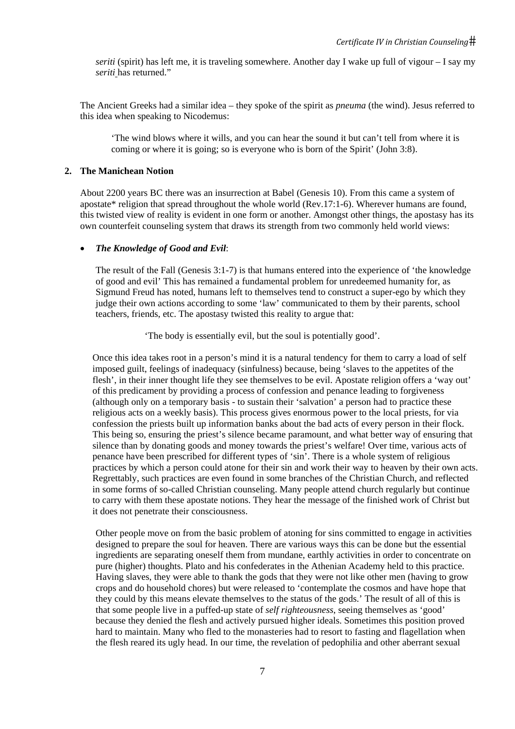*seriti* (spirit) has left me, it is traveling somewhere. Another day I wake up full of vigour – I say my *seriti* has returned."

The Ancient Greeks had a similar idea – they spoke of the spirit as *pneuma* (the wind). Jesus referred to this idea when speaking to Nicodemus:

'The wind blows where it wills, and you can hear the sound it but can't tell from where it is coming or where it is going; so is everyone who is born of the Spirit' (John 3:8).

#### **2. The Manichean Notion**

About 2200 years BC there was an insurrection at Babel (Genesis 10). From this came a system of apostate\* religion that spread throughout the whole world (Rev.17:1-6). Wherever humans are found, this twisted view of reality is evident in one form or another. Amongst other things, the apostasy has its own counterfeit counseling system that draws its strength from two commonly held world views:

#### • *The Knowledge of Good and Evil*:

The result of the Fall (Genesis 3:1-7) is that humans entered into the experience of 'the knowledge of good and evil' This has remained a fundamental problem for unredeemed humanity for, as Sigmund Freud has noted, humans left to themselves tend to construct a super-ego by which they judge their own actions according to some 'law' communicated to them by their parents, school teachers, friends, etc. The apostasy twisted this reality to argue that:

'The body is essentially evil, but the soul is potentially good'.

Once this idea takes root in a person's mind it is a natural tendency for them to carry a load of self imposed guilt, feelings of inadequacy (sinfulness) because, being 'slaves to the appetites of the flesh', in their inner thought life they see themselves to be evil. Apostate religion offers a 'way out' of this predicament by providing a process of confession and penance leading to forgiveness (although only on a temporary basis - to sustain their 'salvation' a person had to practice these religious acts on a weekly basis). This process gives enormous power to the local priests, for via confession the priests built up information banks about the bad acts of every person in their flock. This being so, ensuring the priest's silence became paramount, and what better way of ensuring that silence than by donating goods and money towards the priest's welfare! Over time, various acts of penance have been prescribed for different types of 'sin'. There is a whole system of religious practices by which a person could atone for their sin and work their way to heaven by their own acts. Regrettably, such practices are even found in some branches of the Christian Church, and reflected in some forms of so-called Christian counseling. Many people attend church regularly but continue to carry with them these apostate notions. They hear the message of the finished work of Christ but it does not penetrate their consciousness.

Other people move on from the basic problem of atoning for sins committed to engage in activities designed to prepare the soul for heaven. There are various ways this can be done but the essential ingredients are separating oneself them from mundane, earthly activities in order to concentrate on pure (higher) thoughts. Plato and his confederates in the Athenian Academy held to this practice. Having slaves, they were able to thank the gods that they were not like other men (having to grow crops and do household chores) but were released to 'contemplate the cosmos and have hope that they could by this means elevate themselves to the status of the gods.' The result of all of this is that some people live in a puffed-up state of *self righteousness*, seeing themselves as 'good' because they denied the flesh and actively pursued higher ideals. Sometimes this position proved hard to maintain. Many who fled to the monasteries had to resort to fasting and flagellation when the flesh reared its ugly head. In our time, the revelation of pedophilia and other aberrant sexual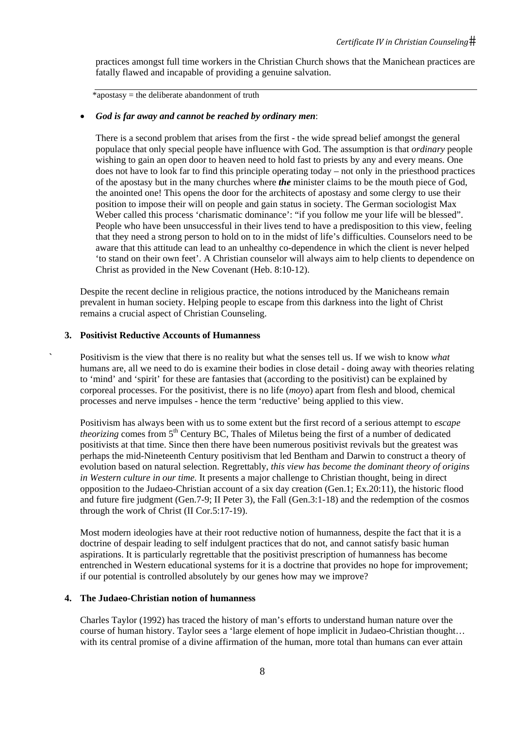practices amongst full time workers in the Christian Church shows that the Manichean practices are fatally flawed and incapable of providing a genuine salvation.

\*apostasy = the deliberate abandonment of truth

#### • *God is far away and cannot be reached by ordinary men*:

There is a second problem that arises from the first - the wide spread belief amongst the general populace that only special people have influence with God. The assumption is that *ordinary* people wishing to gain an open door to heaven need to hold fast to priests by any and every means. One does not have to look far to find this principle operating today – not only in the priesthood practices of the apostasy but in the many churches where *the* minister claims to be the mouth piece of God, the anointed one! This opens the door for the architects of apostasy and some clergy to use their position to impose their will on people and gain status in society. The German sociologist Max Weber called this process 'charismatic dominance': "if you follow me your life will be blessed". People who have been unsuccessful in their lives tend to have a predisposition to this view, feeling that they need a strong person to hold on to in the midst of life's difficulties. Counselors need to be aware that this attitude can lead to an unhealthy co-dependence in which the client is never helped 'to stand on their own feet'. A Christian counselor will always aim to help clients to dependence on Christ as provided in the New Covenant (Heb. 8:10-12).

Despite the recent decline in religious practice, the notions introduced by the Manicheans remain prevalent in human society. Helping people to escape from this darkness into the light of Christ remains a crucial aspect of Christian Counseling.

#### **3. Positivist Reductive Accounts of Humanness**

**`** Positivism is the view that there is no reality but what the senses tell us. If we wish to know *what* humans are, all we need to do is examine their bodies in close detail - doing away with theories relating to 'mind' and 'spirit' for these are fantasies that (according to the positivist) can be explained by corporeal processes. For the positivist, there is no life (*moyo*) apart from flesh and blood, chemical processes and nerve impulses - hence the term 'reductive' being applied to this view.

Positivism has always been with us to some extent but the first record of a serious attempt to *escape theorizing* comes from 5<sup>th</sup> Century BC, Thales of Miletus being the first of a number of dedicated positivists at that time. Since then there have been numerous positivist revivals but the greatest was perhaps the mid-Nineteenth Century positivism that led Bentham and Darwin to construct a theory of evolution based on natural selection. Regrettably, *this view has become the dominant theory of origins in Western culture in our time.* It presents a major challenge to Christian thought, being in direct opposition to the Judaeo-Christian account of a six day creation (Gen.1; Ex.20:11), the historic flood and future fire judgment (Gen.7-9; II Peter 3), the Fall (Gen.3:1-18) and the redemption of the cosmos through the work of Christ (II Cor.5:17-19).

Most modern ideologies have at their root reductive notion of humanness, despite the fact that it is a doctrine of despair leading to self indulgent practices that do not, and cannot satisfy basic human aspirations. It is particularly regrettable that the positivist prescription of humanness has become entrenched in Western educational systems for it is a doctrine that provides no hope for improvement; if our potential is controlled absolutely by our genes how may we improve?

#### **4. The Judaeo-Christian notion of humanness**

Charles Taylor (1992) has traced the history of man's efforts to understand human nature over the course of human history. Taylor sees a 'large element of hope implicit in Judaeo-Christian thought… with its central promise of a divine affirmation of the human, more total than humans can ever attain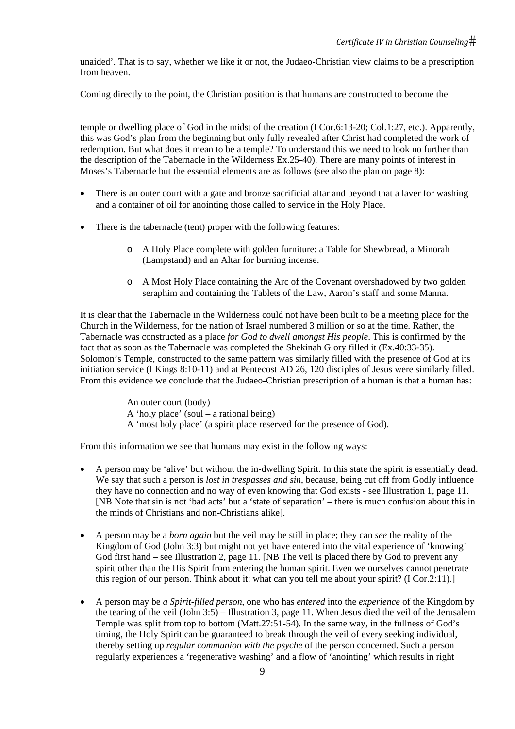unaided'. That is to say, whether we like it or not, the Judaeo-Christian view claims to be a prescription from heaven.

Coming directly to the point, the Christian position is that humans are constructed to become the

temple or dwelling place of God in the midst of the creation (I Cor.6:13-20; Col.1:27, etc.). Apparently, this was God's plan from the beginning but only fully revealed after Christ had completed the work of redemption. But what does it mean to be a temple? To understand this we need to look no further than the description of the Tabernacle in the Wilderness Ex.25-40). There are many points of interest in Moses's Tabernacle but the essential elements are as follows (see also the plan on page 8):

- There is an outer court with a gate and bronze sacrificial altar and beyond that a laver for washing and a container of oil for anointing those called to service in the Holy Place.
- There is the tabernacle (tent) proper with the following features:
	- o A Holy Place complete with golden furniture: a Table for Shewbread, a Minorah (Lampstand) and an Altar for burning incense.
	- o A Most Holy Place containing the Arc of the Covenant overshadowed by two golden seraphim and containing the Tablets of the Law, Aaron's staff and some Manna.

It is clear that the Tabernacle in the Wilderness could not have been built to be a meeting place for the Church in the Wilderness, for the nation of Israel numbered 3 million or so at the time. Rather, the Tabernacle was constructed as a place *for God to dwell amongst His people*. This is confirmed by the fact that as soon as the Tabernacle was completed the Shekinah Glory filled it (Ex.40:33-35). Solomon's Temple, constructed to the same pattern was similarly filled with the presence of God at its initiation service (I Kings 8:10-11) and at Pentecost AD 26, 120 disciples of Jesus were similarly filled. From this evidence we conclude that the Judaeo-Christian prescription of a human is that a human has:

> An outer court (body) A 'holy place' (soul – a rational being) A 'most holy place' (a spirit place reserved for the presence of God).

From this information we see that humans may exist in the following ways:

- A person may be 'alive' but without the in-dwelling Spirit. In this state the spirit is essentially dead. We say that such a person is *lost in trespasses and sin*, because, being cut off from Godly influence they have no connection and no way of even knowing that God exists - see Illustration 1, page 11. [NB Note that sin is not 'bad acts' but a 'state of separation' – there is much confusion about this in the minds of Christians and non-Christians alike].
- A person may be a *born again* but the veil may be still in place; they can *see* the reality of the Kingdom of God (John 3:3) but might not yet have entered into the vital experience of 'knowing' God first hand – see Illustration 2, page 11. [NB The veil is placed there by God to prevent any spirit other than the His Spirit from entering the human spirit. Even we ourselves cannot penetrate this region of our person. Think about it: what can you tell me about your spirit? (I Cor.2:11).]
- A person may be *a Spirit-filled person*, one who has *entered* into the *experience* of the Kingdom by the tearing of the veil (John 3:5) – Illustration 3, page 11. When Jesus died the veil of the Jerusalem Temple was split from top to bottom (Matt.27:51-54). In the same way, in the fullness of God's timing, the Holy Spirit can be guaranteed to break through the veil of every seeking individual, thereby setting up *regular communion with the psyche* of the person concerned. Such a person regularly experiences a 'regenerative washing' and a flow of 'anointing' which results in right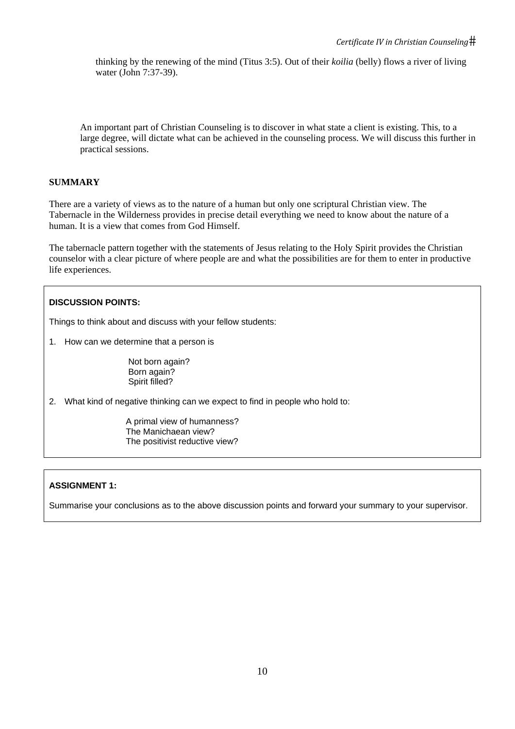thinking by the renewing of the mind (Titus 3:5). Out of their *koilia* (belly) flows a river of living water (John 7:37-39).

An important part of Christian Counseling is to discover in what state a client is existing. This, to a large degree, will dictate what can be achieved in the counseling process. We will discuss this further in practical sessions.

## **SUMMARY**

There are a variety of views as to the nature of a human but only one scriptural Christian view. The Tabernacle in the Wilderness provides in precise detail everything we need to know about the nature of a human. It is a view that comes from God Himself.

The tabernacle pattern together with the statements of Jesus relating to the Holy Spirit provides the Christian counselor with a clear picture of where people are and what the possibilities are for them to enter in productive life experiences.

#### **DISCUSSION POINTS:**

Things to think about and discuss with your fellow students:

1. How can we determine that a person is

 Not born again? Born again? Spirit filled?

2. What kind of negative thinking can we expect to find in people who hold to:

 A primal view of humanness? The Manichaean view? The positivist reductive view?

# **ASSIGNMENT 1:**

Summarise your conclusions as to the above discussion points and forward your summary to your supervisor.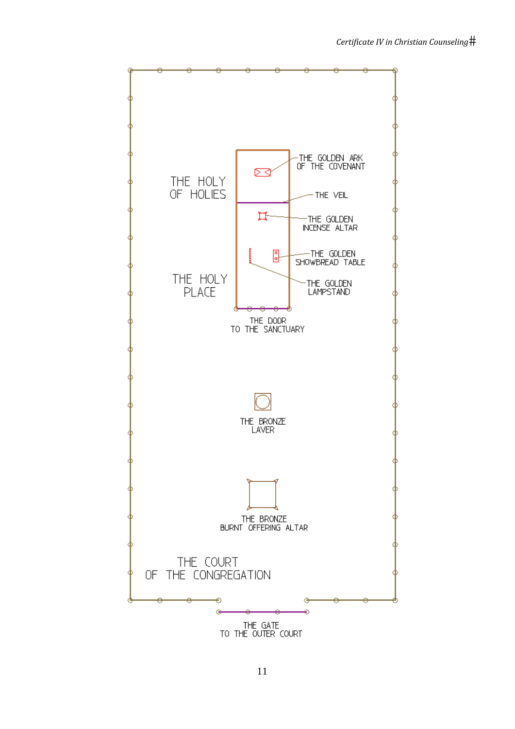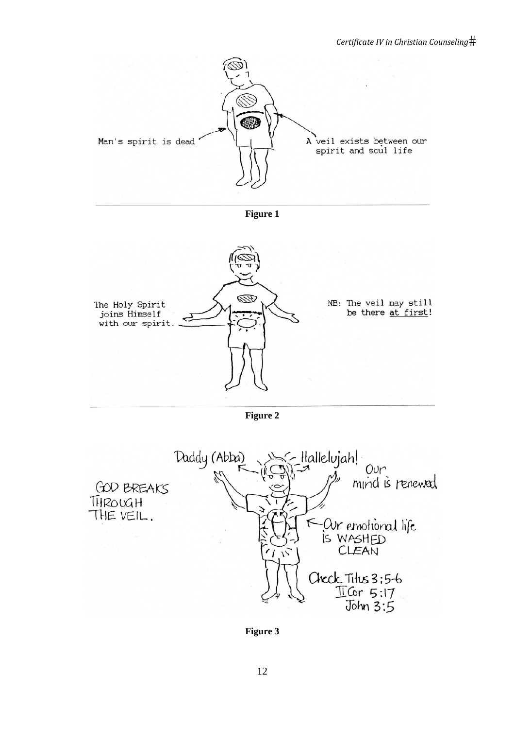

**Figure 1** 



**Figure 2** 



**Figure 3**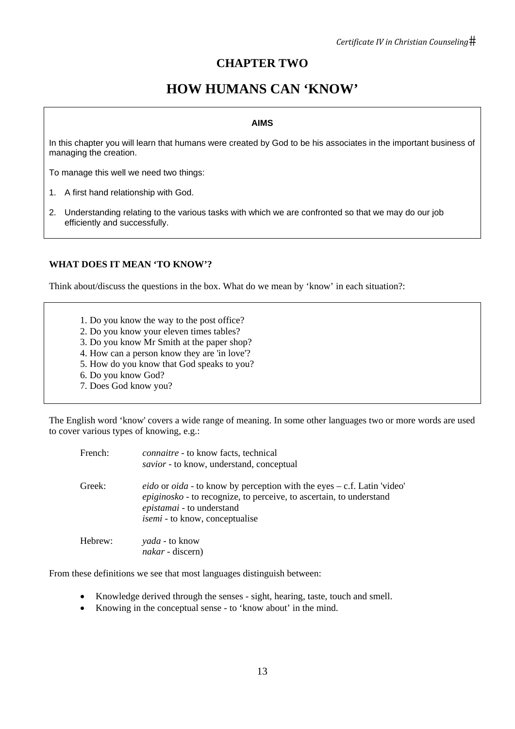# **CHAPTER TWO**

# **HOW HUMANS CAN 'KNOW'**

#### **AIMS**

In this chapter you will learn that humans were created by God to be his associates in the important business of managing the creation.

To manage this well we need two things:

- 1. A first hand relationship with God.
- 2. Understanding relating to the various tasks with which we are confronted so that we may do our job efficiently and successfully.

# **WHAT DOES IT MEAN 'TO KNOW'?**

Think about/discuss the questions in the box. What do we mean by 'know' in each situation?:

- 1. Do you know the way to the post office?
- 2. Do you know your eleven times tables?
- 3. Do you know Mr Smith at the paper shop?
- 4. How can a person know they are 'in love'?
- 5. How do you know that God speaks to you?
- 6. Do you know God?
- 7. Does God know you?

The English word 'know' covers a wide range of meaning. In some other languages two or more words are used to cover various types of knowing, e.g.:

| French: | connaitre - to know facts, technical<br>savior - to know, understand, conceptual                                                                                                                                                   |
|---------|------------------------------------------------------------------------------------------------------------------------------------------------------------------------------------------------------------------------------------|
| Greek:  | <i>eido</i> or <i>oida</i> - to know by perception with the eyes – c.f. Latin 'video'<br>epiginosko - to recognize, to perceive, to ascertain, to understand<br>epistamai - to understand<br><i>isemi</i> - to know, conceptualise |
| Hebrew: | <i>yada</i> - to know<br><i>nakar</i> - discern)                                                                                                                                                                                   |

From these definitions we see that most languages distinguish between:

- Knowledge derived through the senses sight, hearing, taste, touch and smell.
- Knowing in the conceptual sense to 'know about' in the mind.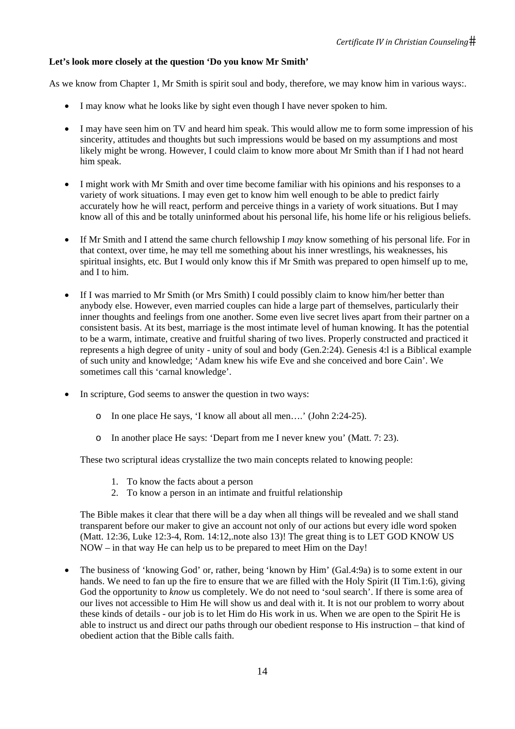# **Let's look more closely at the question 'Do you know Mr Smith'**

As we know from Chapter 1, Mr Smith is spirit soul and body, therefore, we may know him in various ways:.

- I may know what he looks like by sight even though I have never spoken to him.
- I may have seen him on TV and heard him speak. This would allow me to form some impression of his sincerity, attitudes and thoughts but such impressions would be based on my assumptions and most likely might be wrong. However, I could claim to know more about Mr Smith than if I had not heard him speak.
- I might work with Mr Smith and over time become familiar with his opinions and his responses to a variety of work situations. I may even get to know him well enough to be able to predict fairly accurately how he will react, perform and perceive things in a variety of work situations. But I may know all of this and be totally uninformed about his personal life, his home life or his religious beliefs.
- If Mr Smith and I attend the same church fellowship I *may* know something of his personal life. For in that context, over time, he may tell me something about his inner wrestlings, his weaknesses, his spiritual insights, etc. But I would only know this if Mr Smith was prepared to open himself up to me, and I to him.
- If I was married to Mr Smith (or Mrs Smith) I could possibly claim to know him/her better than anybody else. However, even married couples can hide a large part of themselves, particularly their inner thoughts and feelings from one another. Some even live secret lives apart from their partner on a consistent basis. At its best, marriage is the most intimate level of human knowing. It has the potential to be a warm, intimate, creative and fruitful sharing of two lives. Properly constructed and practiced it represents a high degree of unity - unity of soul and body (Gen.2:24). Genesis 4:l is a Biblical example of such unity and knowledge; 'Adam knew his wife Eve and she conceived and bore Cain'. We sometimes call this 'carnal knowledge'.
- In scripture, God seems to answer the question in two ways:
	- o In one place He says, 'I know all about all men….' (John 2:24-25).
	- o In another place He says: 'Depart from me I never knew you' (Matt. 7: 23).

These two scriptural ideas crystallize the two main concepts related to knowing people:

- 1. To know the facts about a person
- 2. To know a person in an intimate and fruitful relationship

The Bible makes it clear that there will be a day when all things will be revealed and we shall stand transparent before our maker to give an account not only of our actions but every idle word spoken (Matt. 12:36, Luke 12:3-4, Rom. 14:12,.note also 13)! The great thing is to LET GOD KNOW US NOW – in that way He can help us to be prepared to meet Him on the Day!

• The business of 'knowing God' or, rather, being 'known by Him' (Gal.4:9a) is to some extent in our hands. We need to fan up the fire to ensure that we are filled with the Holy Spirit (II Tim.1:6), giving God the opportunity to *know* us completely. We do not need to 'soul search'. If there is some area of our lives not accessible to Him He will show us and deal with it. It is not our problem to worry about these kinds of details - our job is to let Him do His work in us. When we are open to the Spirit He is able to instruct us and direct our paths through our obedient response to His instruction – that kind of obedient action that the Bible calls faith.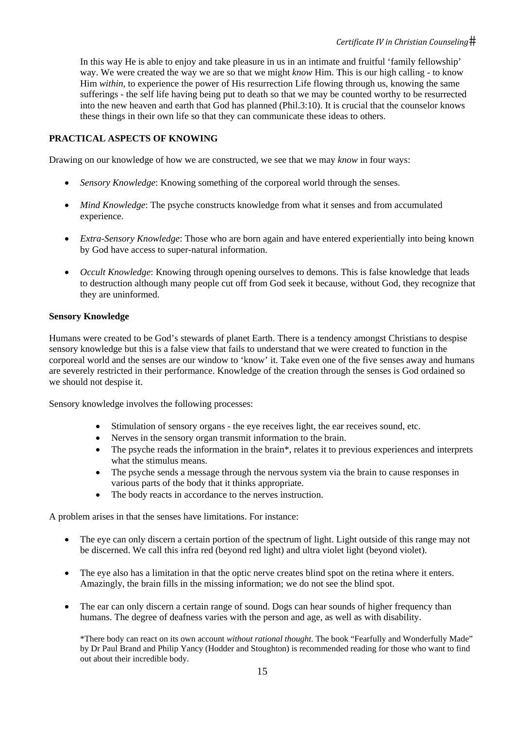In this way He is able to enjoy and take pleasure in us in an intimate and fruitful 'family fellowship' way. We were created the way we are so that we might *know* Him. This is our high calling - to know Him *within*, to experience the power of His resurrection Life flowing through us, knowing the same sufferings - the self life having being put to death so that we may be counted worthy to be resurrected into the new heaven and earth that God has planned (Phil.3:10). It is crucial that the counselor knows these things in their own life so that they can communicate these ideas to others.

# **PRACTICAL ASPECTS OF KNOWING**

Drawing on our knowledge of how we are constructed, we see that we may *know* in four ways:

- *Sensory Knowledge*: Knowing something of the corporeal world through the senses.
- *Mind Knowledge*: The psyche constructs knowledge from what it senses and from accumulated experience.
- *Extra-Sensory Knowledge*: Those who are born again and have entered experientially into being known by God have access to super-natural information.
- *Occult Knowledge*: Knowing through opening ourselves to demons. This is false knowledge that leads to destruction although many people cut off from God seek it because, without God, they recognize that they are uninformed.

# **Sensory Knowledge**

Humans were created to be God's stewards of planet Earth. There is a tendency amongst Christians to despise sensory knowledge but this is a false view that fails to understand that we were created to function in the corporeal world and the senses are our window to 'know' it. Take even one of the five senses away and humans are severely restricted in their performance. Knowledge of the creation through the senses is God ordained so we should not despise it.

Sensory knowledge involves the following processes:

- Stimulation of sensory organs the eye receives light, the ear receives sound, etc.
- Nerves in the sensory organ transmit information to the brain.
- The psyche reads the information in the brain\*, relates it to previous experiences and interprets what the stimulus means.
- The psyche sends a message through the nervous system via the brain to cause responses in various parts of the body that it thinks appropriate.
- The body reacts in accordance to the nerves instruction.

A problem arises in that the senses have limitations. For instance:

- The eye can only discern a certain portion of the spectrum of light. Light outside of this range may not be discerned. We call this infra red (beyond red light) and ultra violet light (beyond violet).
- The eye also has a limitation in that the optic nerve creates blind spot on the retina where it enters. Amazingly, the brain fills in the missing information; we do not see the blind spot.
- The ear can only discern a certain range of sound. Dogs can hear sounds of higher frequency than humans. The degree of deafness varies with the person and age, as well as with disability.

\*There body can react on its own account *without rational thought*. The book "Fearfully and Wonderfully Made" by Dr Paul Brand and Philip Yancy (Hodder and Stoughton) is recommended reading for those who want to find out about their incredible body.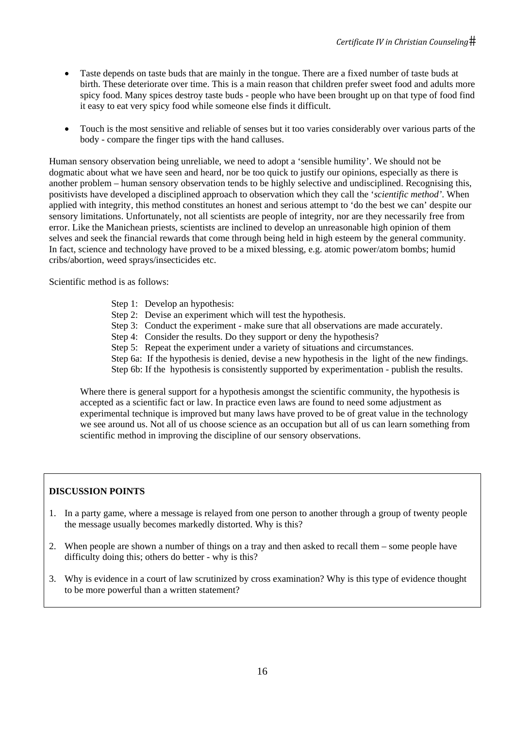- Taste depends on taste buds that are mainly in the tongue. There are a fixed number of taste buds at birth. These deteriorate over time. This is a main reason that children prefer sweet food and adults more spicy food. Many spices destroy taste buds - people who have been brought up on that type of food find it easy to eat very spicy food while someone else finds it difficult.
- Touch is the most sensitive and reliable of senses but it too varies considerably over various parts of the body - compare the finger tips with the hand calluses.

Human sensory observation being unreliable, we need to adopt a 'sensible humility'. We should not be dogmatic about what we have seen and heard, nor be too quick to justify our opinions, especially as there is another problem – human sensory observation tends to be highly selective and undisciplined. Recognising this, positivists have developed a disciplined approach to observation which they call the '*scientific method'*. When applied with integrity, this method constitutes an honest and serious attempt to 'do the best we can' despite our sensory limitations. Unfortunately, not all scientists are people of integrity, nor are they necessarily free from error. Like the Manichean priests, scientists are inclined to develop an unreasonable high opinion of them selves and seek the financial rewards that come through being held in high esteem by the general community. In fact, science and technology have proved to be a mixed blessing, e.g. atomic power/atom bombs; humid cribs/abortion, weed sprays/insecticides etc.

Scientific method is as follows:

- Step 1: Develop an hypothesis:
- Step 2: Devise an experiment which will test the hypothesis.
- Step 3: Conduct the experiment make sure that all observations are made accurately.
- Step 4: Consider the results. Do they support or deny the hypothesis?
- Step 5: Repeat the experiment under a variety of situations and circumstances.
- Step 6a: If the hypothesis is denied, devise a new hypothesis in the light of the new findings.
- Step 6b: If the hypothesis is consistently supported by experimentation publish the results.

Where there is general support for a hypothesis amongst the scientific community, the hypothesis is accepted as a scientific fact or law. In practice even laws are found to need some adjustment as experimental technique is improved but many laws have proved to be of great value in the technology we see around us. Not all of us choose science as an occupation but all of us can learn something from scientific method in improving the discipline of our sensory observations.

# **DISCUSSION POINTS**

- 1. In a party game, where a message is relayed from one person to another through a group of twenty people the message usually becomes markedly distorted. Why is this?
- 2. When people are shown a number of things on a tray and then asked to recall them some people have difficulty doing this; others do better - why is this?
- 3. Why is evidence in a court of law scrutinized by cross examination? Why is this type of evidence thought to be more powerful than a written statement?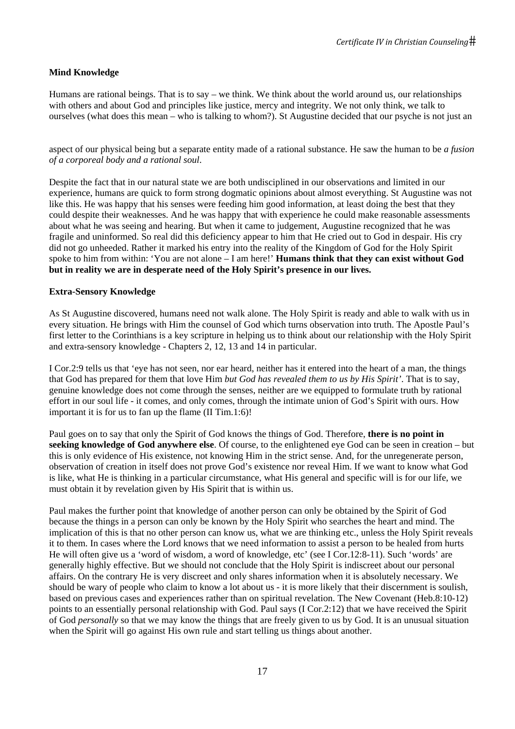# **Mind Knowledge**

Humans are rational beings. That is to say – we think. We think about the world around us, our relationships with others and about God and principles like justice, mercy and integrity. We not only think, we talk to ourselves (what does this mean – who is talking to whom?). St Augustine decided that our psyche is not just an

aspect of our physical being but a separate entity made of a rational substance. He saw the human to be *a fusion of a corporeal body and a rational soul*.

Despite the fact that in our natural state we are both undisciplined in our observations and limited in our experience, humans are quick to form strong dogmatic opinions about almost everything. St Augustine was not like this. He was happy that his senses were feeding him good information, at least doing the best that they could despite their weaknesses. And he was happy that with experience he could make reasonable assessments about what he was seeing and hearing. But when it came to judgement, Augustine recognized that he was fragile and uninformed. So real did this deficiency appear to him that He cried out to God in despair. His cry did not go unheeded. Rather it marked his entry into the reality of the Kingdom of God for the Holy Spirit spoke to him from within: 'You are not alone – I am here!' **Humans think that they can exist without God but in reality we are in desperate need of the Holy Spirit's presence in our lives.** 

## **Extra-Sensory Knowledge**

As St Augustine discovered, humans need not walk alone. The Holy Spirit is ready and able to walk with us in every situation. He brings with Him the counsel of God which turns observation into truth. The Apostle Paul's first letter to the Corinthians is a key scripture in helping us to think about our relationship with the Holy Spirit and extra-sensory knowledge - Chapters 2, 12, 13 and 14 in particular.

I Cor.2:9 tells us that 'eye has not seen, nor ear heard, neither has it entered into the heart of a man, the things that God has prepared for them that love Him *but God has revealed them to us by His Spirit'*. That is to say, genuine knowledge does not come through the senses, neither are we equipped to formulate truth by rational effort in our soul life - it comes, and only comes, through the intimate union of God's Spirit with ours. How important it is for us to fan up the flame (II Tim.1:6)!

Paul goes on to say that only the Spirit of God knows the things of God. Therefore, **there is no point in seeking knowledge of God anywhere else**. Of course, to the enlightened eye God can be seen in creation – but this is only evidence of His existence, not knowing Him in the strict sense. And, for the unregenerate person, observation of creation in itself does not prove God's existence nor reveal Him. If we want to know what God is like, what He is thinking in a particular circumstance, what His general and specific will is for our life, we must obtain it by revelation given by His Spirit that is within us.

Paul makes the further point that knowledge of another person can only be obtained by the Spirit of God because the things in a person can only be known by the Holy Spirit who searches the heart and mind. The implication of this is that no other person can know us, what we are thinking etc., unless the Holy Spirit reveals it to them. In cases where the Lord knows that we need information to assist a person to be healed from hurts He will often give us a 'word of wisdom, a word of knowledge, etc' (see I Cor.12:8-11). Such 'words' are generally highly effective. But we should not conclude that the Holy Spirit is indiscreet about our personal affairs. On the contrary He is very discreet and only shares information when it is absolutely necessary. We should be wary of people who claim to know a lot about us - it is more likely that their discernment is soulish, based on previous cases and experiences rather than on spiritual revelation. The New Covenant (Heb.8:10-12) points to an essentially personal relationship with God. Paul says (I Cor.2:12) that we have received the Spirit of God *personally* so that we may know the things that are freely given to us by God. It is an unusual situation when the Spirit will go against His own rule and start telling us things about another.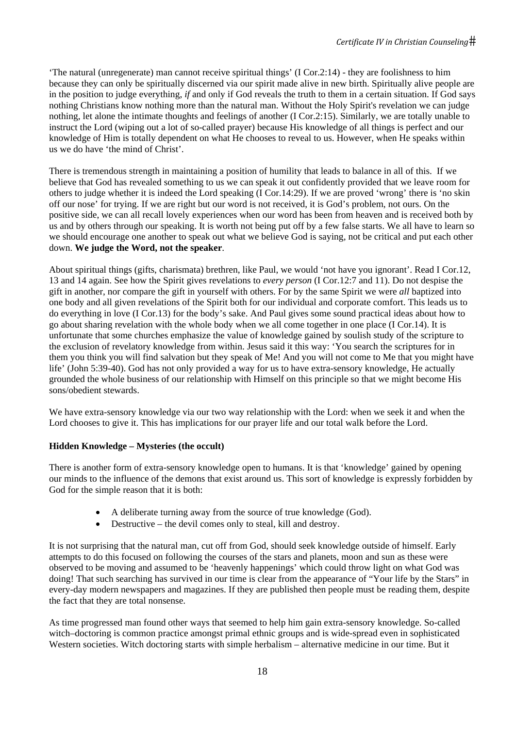'The natural (unregenerate) man cannot receive spiritual things' (I Cor.2:14) - they are foolishness to him because they can only be spiritually discerned via our spirit made alive in new birth. Spiritually alive people are in the position to judge everything, *if* and only if God reveals the truth to them in a certain situation. If God says nothing Christians know nothing more than the natural man. Without the Holy Spirit's revelation we can judge nothing, let alone the intimate thoughts and feelings of another (I Cor.2:15). Similarly, we are totally unable to instruct the Lord (wiping out a lot of so-called prayer) because His knowledge of all things is perfect and our knowledge of Him is totally dependent on what He chooses to reveal to us. However, when He speaks within us we do have 'the mind of Christ'.

There is tremendous strength in maintaining a position of humility that leads to balance in all of this. If we believe that God has revealed something to us we can speak it out confidently provided that we leave room for others to judge whether it is indeed the Lord speaking (I Cor.14:29). If we are proved 'wrong' there is 'no skin off our nose' for trying. If we are right but our word is not received, it is God's problem, not ours. On the positive side, we can all recall lovely experiences when our word has been from heaven and is received both by us and by others through our speaking. It is worth not being put off by a few false starts. We all have to learn so we should encourage one another to speak out what we believe God is saying, not be critical and put each other down. **We judge the Word, not the speaker**.

About spiritual things (gifts, charismata) brethren, like Paul, we would 'not have you ignorant'. Read I Cor.12, 13 and 14 again. See how the Spirit gives revelations to *every person* (I Cor.12:7 and 11). Do not despise the gift in another, nor compare the gift in yourself with others. For by the same Spirit we were *all* baptized into one body and all given revelations of the Spirit both for our individual and corporate comfort. This leads us to do everything in love (I Cor.13) for the body's sake. And Paul gives some sound practical ideas about how to go about sharing revelation with the whole body when we all come together in one place (I Cor.14). It is unfortunate that some churches emphasize the value of knowledge gained by soulish study of the scripture to the exclusion of revelatory knowledge from within. Jesus said it this way: 'You search the scriptures for in them you think you will find salvation but they speak of Me! And you will not come to Me that you might have life' (John 5:39-40). God has not only provided a way for us to have extra-sensory knowledge, He actually grounded the whole business of our relationship with Himself on this principle so that we might become His sons/obedient stewards.

We have extra-sensory knowledge via our two way relationship with the Lord: when we seek it and when the Lord chooses to give it. This has implications for our prayer life and our total walk before the Lord.

# **Hidden Knowledge – Mysteries (the occult)**

There is another form of extra-sensory knowledge open to humans. It is that 'knowledge' gained by opening our minds to the influence of the demons that exist around us. This sort of knowledge is expressly forbidden by God for the simple reason that it is both:

- A deliberate turning away from the source of true knowledge (God).
- Destructive the devil comes only to steal, kill and destroy.

It is not surprising that the natural man, cut off from God, should seek knowledge outside of himself. Early attempts to do this focused on following the courses of the stars and planets, moon and sun as these were observed to be moving and assumed to be 'heavenly happenings' which could throw light on what God was doing! That such searching has survived in our time is clear from the appearance of "Your life by the Stars" in every-day modern newspapers and magazines. If they are published then people must be reading them, despite the fact that they are total nonsense.

As time progressed man found other ways that seemed to help him gain extra-sensory knowledge. So-called witch–doctoring is common practice amongst primal ethnic groups and is wide-spread even in sophisticated Western societies. Witch doctoring starts with simple herbalism – alternative medicine in our time. But it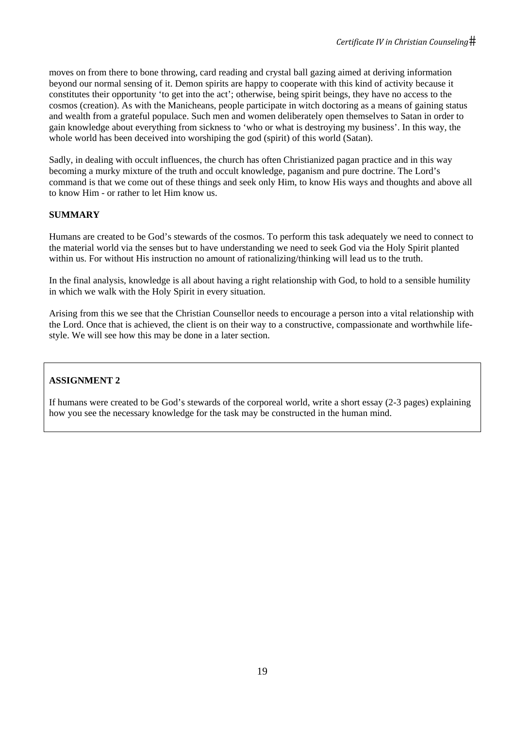moves on from there to bone throwing, card reading and crystal ball gazing aimed at deriving information beyond our normal sensing of it. Demon spirits are happy to cooperate with this kind of activity because it constitutes their opportunity 'to get into the act'; otherwise, being spirit beings, they have no access to the cosmos (creation). As with the Manicheans, people participate in witch doctoring as a means of gaining status and wealth from a grateful populace. Such men and women deliberately open themselves to Satan in order to gain knowledge about everything from sickness to 'who or what is destroying my business'. In this way, the whole world has been deceived into worshiping the god (spirit) of this world (Satan).

Sadly, in dealing with occult influences, the church has often Christianized pagan practice and in this way becoming a murky mixture of the truth and occult knowledge, paganism and pure doctrine. The Lord's command is that we come out of these things and seek only Him, to know His ways and thoughts and above all to know Him - or rather to let Him know us.

# **SUMMARY**

Humans are created to be God's stewards of the cosmos. To perform this task adequately we need to connect to the material world via the senses but to have understanding we need to seek God via the Holy Spirit planted within us. For without His instruction no amount of rationalizing/thinking will lead us to the truth.

In the final analysis, knowledge is all about having a right relationship with God, to hold to a sensible humility in which we walk with the Holy Spirit in every situation.

Arising from this we see that the Christian Counsellor needs to encourage a person into a vital relationship with the Lord. Once that is achieved, the client is on their way to a constructive, compassionate and worthwhile lifestyle. We will see how this may be done in a later section.

# **ASSIGNMENT 2**

If humans were created to be God's stewards of the corporeal world, write a short essay (2-3 pages) explaining how you see the necessary knowledge for the task may be constructed in the human mind.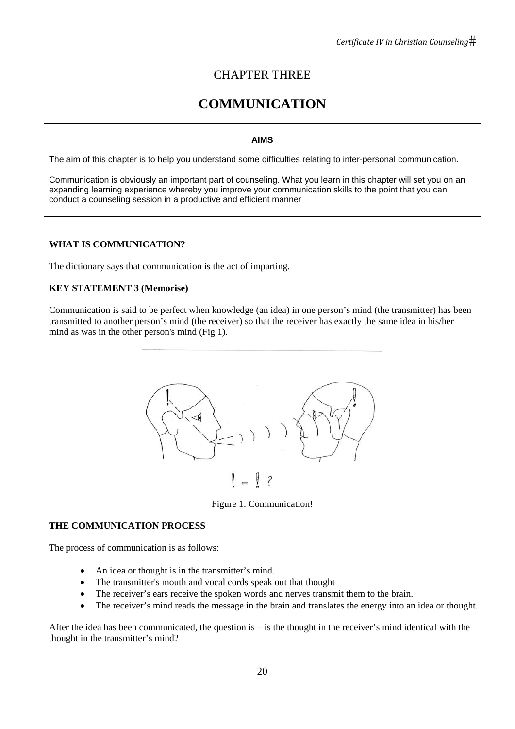# CHAPTER THREE

# **COMMUNICATION**

# **AIMS**

The aim of this chapter is to help you understand some difficulties relating to inter-personal communication.

Communication is obviously an important part of counseling. What you learn in this chapter will set you on an expanding learning experience whereby you improve your communication skills to the point that you can conduct a counseling session in a productive and efficient manner

# **WHAT IS COMMUNICATION?**

The dictionary says that communication is the act of imparting.

# **KEY STATEMENT 3 (Memorise)**

Communication is said to be perfect when knowledge (an idea) in one person's mind (the transmitter) has been transmitted to another person's mind (the receiver) so that the receiver has exactly the same idea in his/her mind as was in the other person's mind (Fig 1).



Figure 1: Communication!

# **THE COMMUNICATION PROCESS**

The process of communication is as follows:

- An idea or thought is in the transmitter's mind.
- The transmitter's mouth and vocal cords speak out that thought
- The receiver's ears receive the spoken words and nerves transmit them to the brain.
- The receiver's mind reads the message in the brain and translates the energy into an idea or thought.

After the idea has been communicated, the question is – is the thought in the receiver's mind identical with the thought in the transmitter's mind?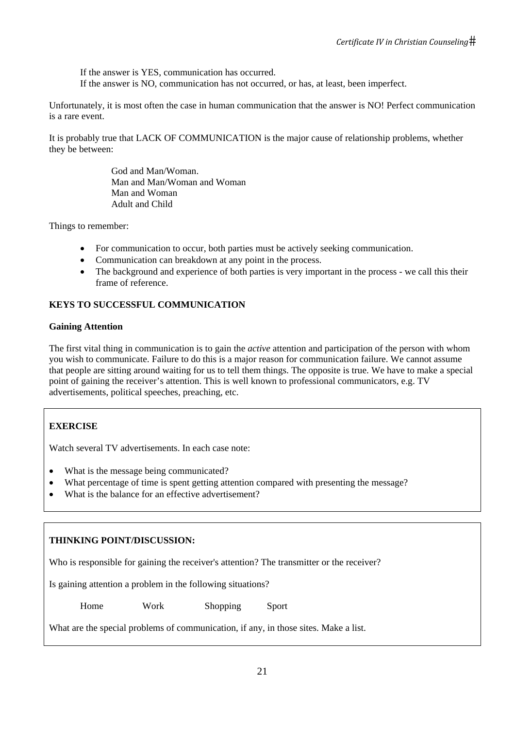If the answer is YES, communication has occurred. If the answer is NO, communication has not occurred, or has, at least, been imperfect.

Unfortunately, it is most often the case in human communication that the answer is NO! Perfect communication is a rare event.

It is probably true that LACK OF COMMUNICATION is the major cause of relationship problems, whether they be between:

> God and Man/Woman. Man and Man/Woman and Woman Man and Woman Adult and Child

Things to remember:

- For communication to occur, both parties must be actively seeking communication.
- Communication can breakdown at any point in the process.
- The background and experience of both parties is very important in the process we call this their frame of reference.

# **KEYS TO SUCCESSFUL COMMUNICATION**

## **Gaining Attention**

The first vital thing in communication is to gain the *active* attention and participation of the person with whom you wish to communicate. Failure to do this is a major reason for communication failure. We cannot assume that people are sitting around waiting for us to tell them things. The opposite is true. We have to make a special point of gaining the receiver's attention. This is well known to professional communicators, e.g. TV advertisements, political speeches, preaching, etc.

# **EXERCISE**

Watch several TV advertisements. In each case note:

- What is the message being communicated?
- What percentage of time is spent getting attention compared with presenting the message?
- What is the balance for an effective advertisement?

# **THINKING POINT/DISCUSSION:**

Who is responsible for gaining the receiver's attention? The transmitter or the receiver?

Is gaining attention a problem in the following situations?

Home Work Shopping Sport

What are the special problems of communication, if any, in those sites. Make a list.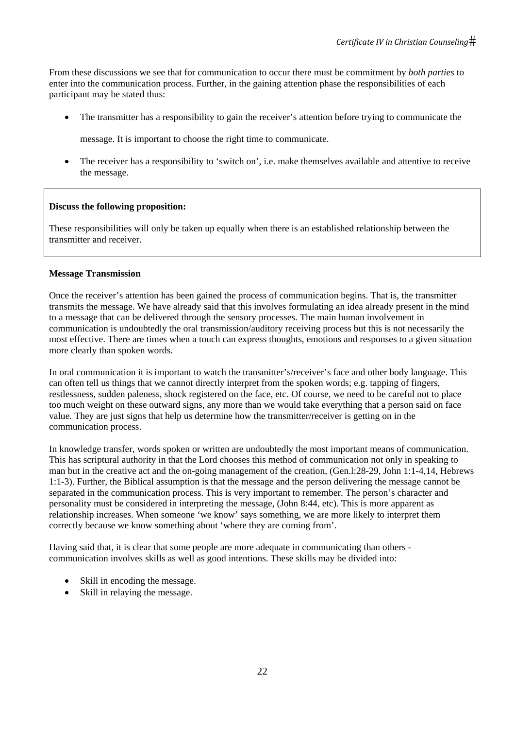From these discussions we see that for communication to occur there must be commitment by *both parties* to enter into the communication process. Further, in the gaining attention phase the responsibilities of each participant may be stated thus:

• The transmitter has a responsibility to gain the receiver's attention before trying to communicate the

message. It is important to choose the right time to communicate.

• The receiver has a responsibility to 'switch on', i.e. make themselves available and attentive to receive the message.

## **Discuss the following proposition:**

These responsibilities will only be taken up equally when there is an established relationship between the transmitter and receiver.

#### **Message Transmission**

Once the receiver's attention has been gained the process of communication begins. That is, the transmitter transmits the message. We have already said that this involves formulating an idea already present in the mind to a message that can be delivered through the sensory processes. The main human involvement in communication is undoubtedly the oral transmission/auditory receiving process but this is not necessarily the most effective. There are times when a touch can express thoughts, emotions and responses to a given situation more clearly than spoken words.

In oral communication it is important to watch the transmitter's/receiver's face and other body language. This can often tell us things that we cannot directly interpret from the spoken words; e.g. tapping of fingers, restlessness, sudden paleness, shock registered on the face, etc. Of course, we need to be careful not to place too much weight on these outward signs, any more than we would take everything that a person said on face value. They are just signs that help us determine how the transmitter/receiver is getting on in the communication process.

In knowledge transfer, words spoken or written are undoubtedly the most important means of communication. This has scriptural authority in that the Lord chooses this method of communication not only in speaking to man but in the creative act and the on-going management of the creation, (Gen.l:28-29, John 1:1-4,14, Hebrews 1:1-3). Further, the Biblical assumption is that the message and the person delivering the message cannot be separated in the communication process. This is very important to remember. The person's character and personality must be considered in interpreting the message, (John 8:44, etc). This is more apparent as relationship increases. When someone 'we know' says something, we are more likely to interpret them correctly because we know something about 'where they are coming from'.

Having said that, it is clear that some people are more adequate in communicating than others communication involves skills as well as good intentions. These skills may be divided into:

- Skill in encoding the message.
- Skill in relaying the message.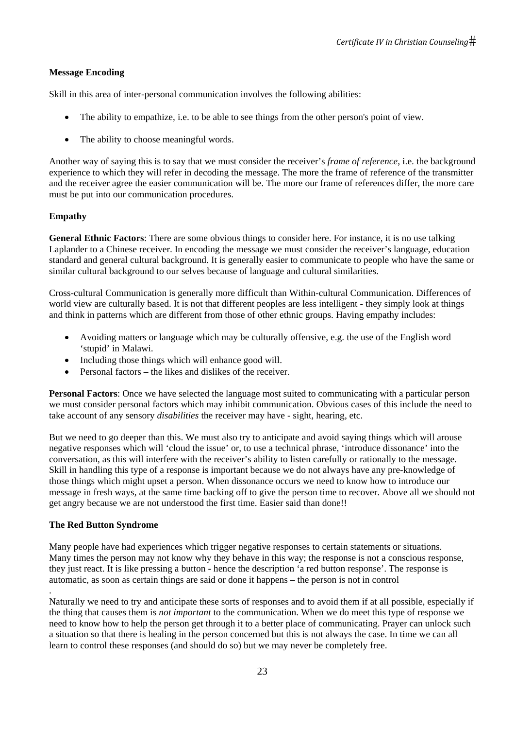## **Message Encoding**

Skill in this area of inter-personal communication involves the following abilities:

- The ability to empathize, i.e. to be able to see things from the other person's point of view.
- The ability to choose meaningful words.

Another way of saying this is to say that we must consider the receiver's *frame of reference*, i.e. the background experience to which they will refer in decoding the message. The more the frame of reference of the transmitter and the receiver agree the easier communication will be. The more our frame of references differ, the more care must be put into our communication procedures.

## **Empathy**

**General Ethnic Factors**: There are some obvious things to consider here. For instance, it is no use talking Laplander to a Chinese receiver. In encoding the message we must consider the receiver's language, education standard and general cultural background. It is generally easier to communicate to people who have the same or similar cultural background to our selves because of language and cultural similarities.

Cross-cultural Communication is generally more difficult than Within-cultural Communication. Differences of world view are culturally based. It is not that different peoples are less intelligent - they simply look at things and think in patterns which are different from those of other ethnic groups. Having empathy includes:

- Avoiding matters or language which may be culturally offensive, e.g. the use of the English word 'stupid' in Malawi.
- Including those things which will enhance good will.
- Personal factors the likes and dislikes of the receiver.

**Personal Factors**: Once we have selected the language most suited to communicating with a particular person we must consider personal factors which may inhibit communication. Obvious cases of this include the need to take account of any sensory *disabilities* the receiver may have - sight, hearing, etc.

But we need to go deeper than this. We must also try to anticipate and avoid saying things which will arouse negative responses which will 'cloud the issue' or, to use a technical phrase, 'introduce dissonance' into the conversation, as this will interfere with the receiver's ability to listen carefully or rationally to the message. Skill in handling this type of a response is important because we do not always have any pre-knowledge of those things which might upset a person. When dissonance occurs we need to know how to introduce our message in fresh ways, at the same time backing off to give the person time to recover. Above all we should not get angry because we are not understood the first time. Easier said than done!!

#### **The Red Button Syndrome**

.

Many people have had experiences which trigger negative responses to certain statements or situations. Many times the person may not know why they behave in this way; the response is not a conscious response, they just react. It is like pressing a button - hence the description 'a red button response'. The response is automatic, as soon as certain things are said or done it happens – the person is not in control

Naturally we need to try and anticipate these sorts of responses and to avoid them if at all possible, especially if the thing that causes them is *not important* to the communication. When we do meet this type of response we need to know how to help the person get through it to a better place of communicating. Prayer can unlock such a situation so that there is healing in the person concerned but this is not always the case. In time we can all learn to control these responses (and should do so) but we may never be completely free.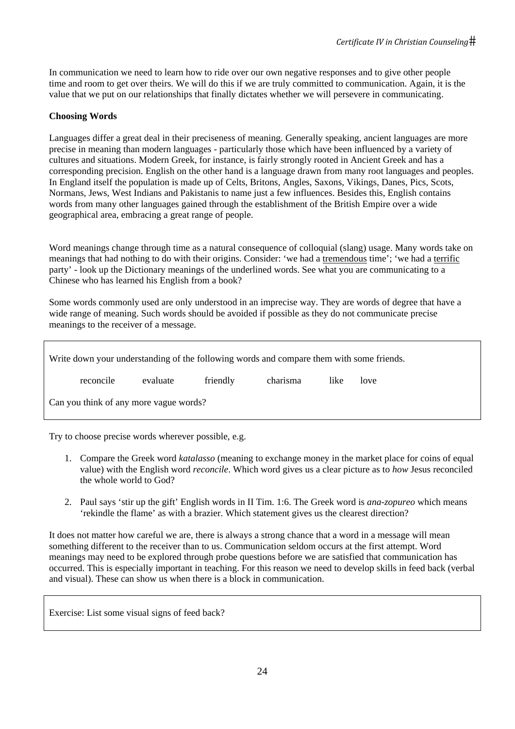In communication we need to learn how to ride over our own negative responses and to give other people time and room to get over theirs. We will do this if we are truly committed to communication. Again, it is the value that we put on our relationships that finally dictates whether we will persevere in communicating.

## **Choosing Words**

Languages differ a great deal in their preciseness of meaning. Generally speaking, ancient languages are more precise in meaning than modern languages - particularly those which have been influenced by a variety of cultures and situations. Modern Greek, for instance, is fairly strongly rooted in Ancient Greek and has a corresponding precision. English on the other hand is a language drawn from many root languages and peoples. In England itself the population is made up of Celts, Britons, Angles, Saxons, Vikings, Danes, Pics, Scots, Normans, Jews, West Indians and Pakistanis to name just a few influences. Besides this, English contains words from many other languages gained through the establishment of the British Empire over a wide geographical area, embracing a great range of people.

Word meanings change through time as a natural consequence of colloquial (slang) usage. Many words take on meanings that had nothing to do with their origins. Consider: 'we had a tremendous time'; 'we had a terrific party' - look up the Dictionary meanings of the underlined words. See what you are communicating to a Chinese who has learned his English from a book?

Some words commonly used are only understood in an imprecise way. They are words of degree that have a wide range of meaning. Such words should be avoided if possible as they do not communicate precise meanings to the receiver of a message.

| Write down your understanding of the following words and compare them with some friends. |          |          |          |      |      |  |
|------------------------------------------------------------------------------------------|----------|----------|----------|------|------|--|
| reconcile                                                                                | evaluate | friendly | charisma | like | love |  |
| Can you think of any more vague words?                                                   |          |          |          |      |      |  |

Try to choose precise words wherever possible, e.g.

- 1. Compare the Greek word *katalasso* (meaning to exchange money in the market place for coins of equal value) with the English word *reconcile*. Which word gives us a clear picture as to *how* Jesus reconciled the whole world to God?
- 2. Paul says 'stir up the gift' English words in II Tim. 1:6. The Greek word is *ana-zopureo* which means 'rekindle the flame' as with a brazier. Which statement gives us the clearest direction?

It does not matter how careful we are, there is always a strong chance that a word in a message will mean something different to the receiver than to us. Communication seldom occurs at the first attempt. Word meanings may need to be explored through probe questions before we are satisfied that communication has occurred. This is especially important in teaching. For this reason we need to develop skills in feed back (verbal and visual). These can show us when there is a block in communication.

Exercise: List some visual signs of feed back?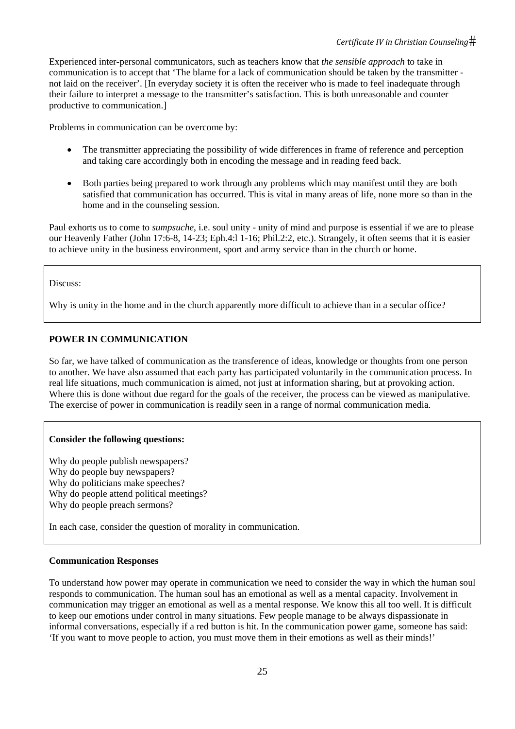Experienced inter-personal communicators, such as teachers know that *the sensible approach* to take in communication is to accept that 'The blame for a lack of communication should be taken by the transmitter not laid on the receiver'. [In everyday society it is often the receiver who is made to feel inadequate through their failure to interpret a message to the transmitter's satisfaction. This is both unreasonable and counter productive to communication.]

Problems in communication can be overcome by:

- The transmitter appreciating the possibility of wide differences in frame of reference and perception and taking care accordingly both in encoding the message and in reading feed back.
- Both parties being prepared to work through any problems which may manifest until they are both satisfied that communication has occurred. This is vital in many areas of life, none more so than in the home and in the counseling session.

Paul exhorts us to come to *sumpsuche*, i.e. soul unity - unity of mind and purpose is essential if we are to please our Heavenly Father (John 17:6-8, 14-23; Eph.4:l 1-16; Phil.2:2, etc.). Strangely, it often seems that it is easier to achieve unity in the business environment, sport and army service than in the church or home.

## Discuss:

Why is unity in the home and in the church apparently more difficult to achieve than in a secular office?

## **POWER IN COMMUNICATION**

So far, we have talked of communication as the transference of ideas, knowledge or thoughts from one person to another. We have also assumed that each party has participated voluntarily in the communication process. In real life situations, much communication is aimed, not just at information sharing, but at provoking action. Where this is done without due regard for the goals of the receiver, the process can be viewed as manipulative. The exercise of power in communication is readily seen in a range of normal communication media.

# **Consider the following questions:**

Why do people publish newspapers? Why do people buy newspapers? Why do politicians make speeches? Why do people attend political meetings? Why do people preach sermons?

In each case, consider the question of morality in communication.

# **Communication Responses**

To understand how power may operate in communication we need to consider the way in which the human soul responds to communication. The human soul has an emotional as well as a mental capacity. Involvement in communication may trigger an emotional as well as a mental response. We know this all too well. It is difficult to keep our emotions under control in many situations. Few people manage to be always dispassionate in informal conversations, especially if a red button is hit. In the communication power game, someone has said: 'If you want to move people to action, you must move them in their emotions as well as their minds!'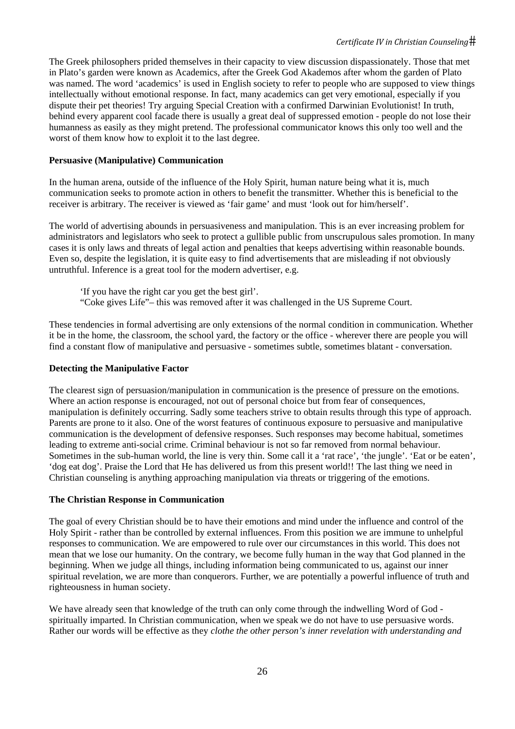The Greek philosophers prided themselves in their capacity to view discussion dispassionately. Those that met in Plato's garden were known as Academics, after the Greek God Akademos after whom the garden of Plato was named. The word 'academics' is used in English society to refer to people who are supposed to view things intellectually without emotional response. In fact, many academics can get very emotional, especially if you dispute their pet theories! Try arguing Special Creation with a confirmed Darwinian Evolutionist! In truth, behind every apparent cool facade there is usually a great deal of suppressed emotion - people do not lose their humanness as easily as they might pretend. The professional communicator knows this only too well and the worst of them know how to exploit it to the last degree.

# **Persuasive (Manipulative) Communication**

In the human arena, outside of the influence of the Holy Spirit, human nature being what it is, much communication seeks to promote action in others to benefit the transmitter. Whether this is beneficial to the receiver is arbitrary. The receiver is viewed as 'fair game' and must 'look out for him/herself'.

The world of advertising abounds in persuasiveness and manipulation. This is an ever increasing problem for administrators and legislators who seek to protect a gullible public from unscrupulous sales promotion. In many cases it is only laws and threats of legal action and penalties that keeps advertising within reasonable bounds. Even so, despite the legislation, it is quite easy to find advertisements that are misleading if not obviously untruthful. Inference is a great tool for the modern advertiser, e.g.

'If you have the right car you get the best girl'. "Coke gives Life"– this was removed after it was challenged in the US Supreme Court.

These tendencies in formal advertising are only extensions of the normal condition in communication. Whether it be in the home, the classroom, the school yard, the factory or the office - wherever there are people you will find a constant flow of manipulative and persuasive - sometimes subtle, sometimes blatant - conversation.

#### **Detecting the Manipulative Factor**

The clearest sign of persuasion/manipulation in communication is the presence of pressure on the emotions. Where an action response is encouraged, not out of personal choice but from fear of consequences, manipulation is definitely occurring. Sadly some teachers strive to obtain results through this type of approach. Parents are prone to it also. One of the worst features of continuous exposure to persuasive and manipulative communication is the development of defensive responses. Such responses may become habitual, sometimes leading to extreme anti-social crime. Criminal behaviour is not so far removed from normal behaviour. Sometimes in the sub-human world, the line is very thin. Some call it a 'rat race', 'the jungle'. 'Eat or be eaten', 'dog eat dog'. Praise the Lord that He has delivered us from this present world!! The last thing we need in Christian counseling is anything approaching manipulation via threats or triggering of the emotions.

#### **The Christian Response in Communication**

The goal of every Christian should be to have their emotions and mind under the influence and control of the Holy Spirit - rather than be controlled by external influences. From this position we are immune to unhelpful responses to communication. We are empowered to rule over our circumstances in this world. This does not mean that we lose our humanity. On the contrary, we become fully human in the way that God planned in the beginning. When we judge all things, including information being communicated to us, against our inner spiritual revelation, we are more than conquerors. Further, we are potentially a powerful influence of truth and righteousness in human society.

We have already seen that knowledge of the truth can only come through the indwelling Word of God spiritually imparted. In Christian communication, when we speak we do not have to use persuasive words. Rather our words will be effective as they *clothe the other person's inner revelation with understanding and*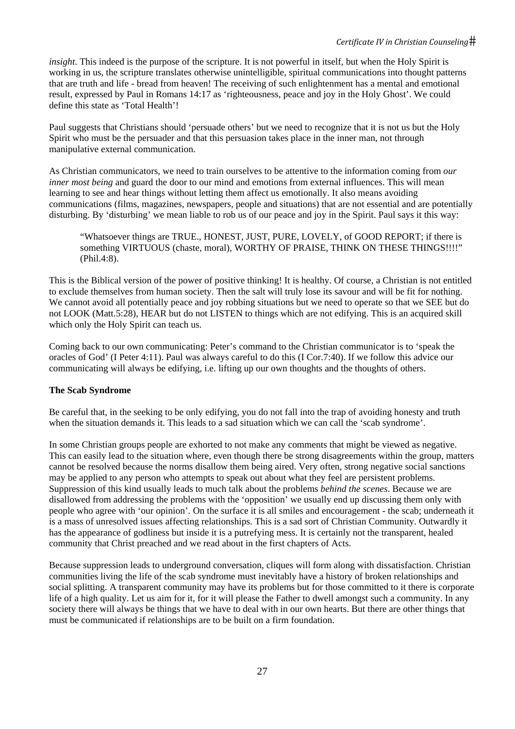#### *Certificate IV in Christian Counseling*

*insight*. This indeed is the purpose of the scripture. It is not powerful in itself, but when the Holy Spirit is working in us, the scripture translates otherwise unintelligible, spiritual communications into thought patterns that are truth and life - bread from heaven! The receiving of such enlightenment has a mental and emotional result, expressed by Paul in Romans 14:17 as 'righteousness, peace and joy in the Holy Ghost'. We could define this state as 'Total Health'!

Paul suggests that Christians should 'persuade others' but we need to recognize that it is not us but the Holy Spirit who must be the persuader and that this persuasion takes place in the inner man, not through manipulative external communication.

As Christian communicators, we need to train ourselves to be attentive to the information coming from *our inner most being* and guard the door to our mind and emotions from external influences. This will mean learning to see and hear things without letting them affect us emotionally. It also means avoiding communications (films, magazines, newspapers, people and situations) that are not essential and are potentially disturbing. By 'disturbing' we mean liable to rob us of our peace and joy in the Spirit. Paul says it this way:

"Whatsoever things are TRUE., HONEST, JUST, PURE, LOVELY, of GOOD REPORT; if there is something VIRTUOUS (chaste, moral), WORTHY OF PRAISE, THINK ON THESE THINGS!!!!" (Phil.4:8).

This is the Biblical version of the power of positive thinking! It is healthy. Of course, a Christian is not entitled to exclude themselves from human society. Then the salt will truly lose its savour and will be fit for nothing. We cannot avoid all potentially peace and joy robbing situations but we need to operate so that we SEE but do not LOOK (Matt.5:28), HEAR but do not LISTEN to things which are not edifying. This is an acquired skill which only the Holy Spirit can teach us.

Coming back to our own communicating: Peter's command to the Christian communicator is to 'speak the oracles of God' (I Peter 4:11). Paul was always careful to do this (I Cor.7:40). If we follow this advice our communicating will always be edifying, i.e. lifting up our own thoughts and the thoughts of others.

#### **The Scab Syndrome**

Be careful that, in the seeking to be only edifying, you do not fall into the trap of avoiding honesty and truth when the situation demands it. This leads to a sad situation which we can call the 'scab syndrome'.

In some Christian groups people are exhorted to not make any comments that might be viewed as negative. This can easily lead to the situation where, even though there be strong disagreements within the group, matters cannot be resolved because the norms disallow them being aired. Very often, strong negative social sanctions may be applied to any person who attempts to speak out about what they feel are persistent problems. Suppression of this kind usually leads to much talk about the problems *behind the scenes*. Because we are disallowed from addressing the problems with the 'opposition' we usually end up discussing them only with people who agree with 'our opinion'. On the surface it is all smiles and encouragement - the scab; underneath it is a mass of unresolved issues affecting relationships. This is a sad sort of Christian Community. Outwardly it has the appearance of godliness but inside it is a putrefying mess. It is certainly not the transparent, healed community that Christ preached and we read about in the first chapters of Acts.

Because suppression leads to underground conversation, cliques will form along with dissatisfaction. Christian communities living the life of the scab syndrome must inevitably have a history of broken relationships and social splitting. A transparent community may have its problems but for those committed to it there is corporate life of a high quality. Let us aim for it, for it will please the Father to dwell amongst such a community. In any society there will always be things that we have to deal with in our own hearts. But there are other things that must be communicated if relationships are to be built on a firm foundation.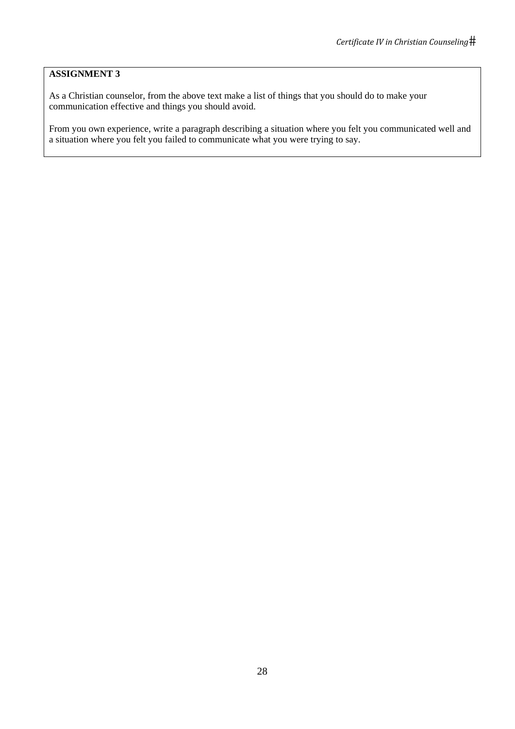# **ASSIGNMENT 3**

As a Christian counselor, from the above text make a list of things that you should do to make your communication effective and things you should avoid.

From you own experience, write a paragraph describing a situation where you felt you communicated well and a situation where you felt you failed to communicate what you were trying to say.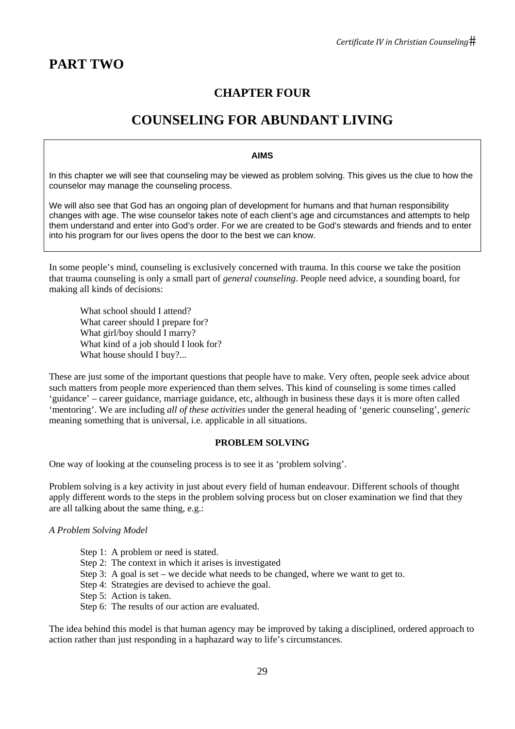# **CHAPTER FOUR**

# **COUNSELING FOR ABUNDANT LIVING**

#### **AIMS**

In this chapter we will see that counseling may be viewed as problem solving. This gives us the clue to how the counselor may manage the counseling process.

We will also see that God has an ongoing plan of development for humans and that human responsibility changes with age. The wise counselor takes note of each client's age and circumstances and attempts to help them understand and enter into God's order. For we are created to be God's stewards and friends and to enter into his program for our lives opens the door to the best we can know.

In some people's mind, counseling is exclusively concerned with trauma. In this course we take the position that trauma counseling is only a small part of *general counseling*. People need advice, a sounding board, for making all kinds of decisions:

 What school should I attend? What career should I prepare for? What girl/boy should I marry? What kind of a job should I look for? What house should I buy?...

These are just some of the important questions that people have to make. Very often, people seek advice about such matters from people more experienced than them selves. This kind of counseling is some times called 'guidance' – career guidance, marriage guidance, etc, although in business these days it is more often called 'mentoring'. We are including *all of these activities* under the general heading of 'generic counseling', *generic*  meaning something that is universal, i.e. applicable in all situations.

#### **PROBLEM SOLVING**

One way of looking at the counseling process is to see it as 'problem solving'.

Problem solving is a key activity in just about every field of human endeavour. Different schools of thought apply different words to the steps in the problem solving process but on closer examination we find that they are all talking about the same thing, e.g.:

#### *A Problem Solving Model*

- Step 1: A problem or need is stated.
- Step 2: The context in which it arises is investigated
- Step 3: A goal is set we decide what needs to be changed, where we want to get to.
- Step 4: Strategies are devised to achieve the goal.
- Step 5: Action is taken.
- Step 6: The results of our action are evaluated.

The idea behind this model is that human agency may be improved by taking a disciplined, ordered approach to action rather than just responding in a haphazard way to life's circumstances.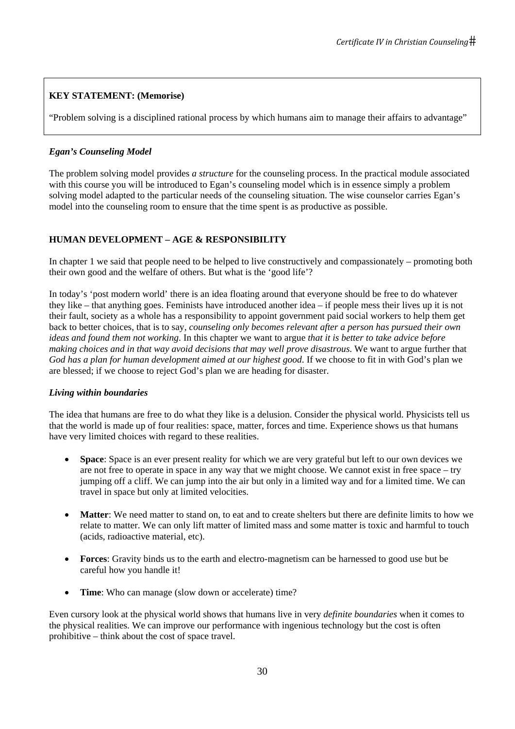# **KEY STATEMENT: (Memorise)**

"Problem solving is a disciplined rational process by which humans aim to manage their affairs to advantage"

# *Egan's Counseling Model*

The problem solving model provides *a structure* for the counseling process. In the practical module associated with this course you will be introduced to Egan's counseling model which is in essence simply a problem solving model adapted to the particular needs of the counseling situation. The wise counselor carries Egan's model into the counseling room to ensure that the time spent is as productive as possible.

# **HUMAN DEVELOPMENT – AGE & RESPONSIBILITY**

In chapter 1 we said that people need to be helped to live constructively and compassionately – promoting both their own good and the welfare of others. But what is the 'good life'?

In today's 'post modern world' there is an idea floating around that everyone should be free to do whatever they like – that anything goes. Feminists have introduced another idea – if people mess their lives up it is not their fault, society as a whole has a responsibility to appoint government paid social workers to help them get back to better choices, that is to say, *counseling only becomes relevant after a person has pursued their own ideas and found them not working*. In this chapter we want to argue *that it is better to take advice before making choices and in that way avoid decisions that may well prove disastrous*. We want to argue further that *God has a plan for human development aimed at our highest good*. If we choose to fit in with God's plan we are blessed; if we choose to reject God's plan we are heading for disaster.

# *Living within boundaries*

The idea that humans are free to do what they like is a delusion. Consider the physical world. Physicists tell us that the world is made up of four realities: space, matter, forces and time. Experience shows us that humans have very limited choices with regard to these realities.

- **Space**: Space is an ever present reality for which we are very grateful but left to our own devices we are not free to operate in space in any way that we might choose. We cannot exist in free space – try jumping off a cliff. We can jump into the air but only in a limited way and for a limited time. We can travel in space but only at limited velocities.
- **Matter**: We need matter to stand on, to eat and to create shelters but there are definite limits to how we relate to matter. We can only lift matter of limited mass and some matter is toxic and harmful to touch (acids, radioactive material, etc).
- **Forces**: Gravity binds us to the earth and electro-magnetism can be harnessed to good use but be careful how you handle it!
- **Time**: Who can manage (slow down or accelerate) time?

Even cursory look at the physical world shows that humans live in very *definite boundaries* when it comes to the physical realities. We can improve our performance with ingenious technology but the cost is often prohibitive – think about the cost of space travel.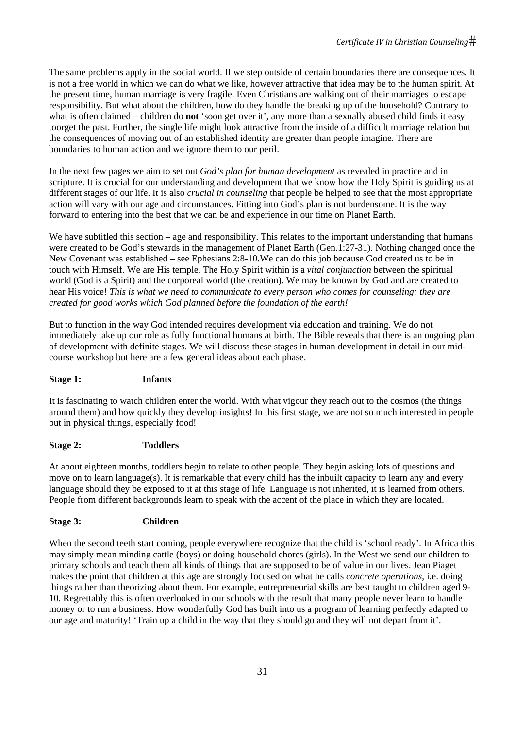The same problems apply in the social world. If we step outside of certain boundaries there are consequences. It is not a free world in which we can do what we like, however attractive that idea may be to the human spirit. At the present time, human marriage is very fragile. Even Christians are walking out of their marriages to escape responsibility. But what about the children, how do they handle the breaking up of the household? Contrary to what is often claimed – children do **not** 'soon get over it', any more than a sexually abused child finds it easy toorget the past. Further, the single life might look attractive from the inside of a difficult marriage relation but the consequences of moving out of an established identity are greater than people imagine. There are boundaries to human action and we ignore them to our peril.

In the next few pages we aim to set out *God's plan for human development* as revealed in practice and in scripture. It is crucial for our understanding and development that we know how the Holy Spirit is guiding us at different stages of our life. It is also *crucial in counseling* that people be helped to see that the most appropriate action will vary with our age and circumstances. Fitting into God's plan is not burdensome. It is the way forward to entering into the best that we can be and experience in our time on Planet Earth.

We have subtitled this section – age and responsibility. This relates to the important understanding that humans were created to be God's stewards in the management of Planet Earth (Gen.1:27-31). Nothing changed once the New Covenant was established – see Ephesians 2:8-10.We can do this job because God created us to be in touch with Himself. We are His temple. The Holy Spirit within is a *vital conjunction* between the spiritual world (God is a Spirit) and the corporeal world (the creation). We may be known by God and are created to hear His voice! *This is what we need to communicate to every person who comes for counseling: they are created for good works which God planned before the foundation of the earth!* 

But to function in the way God intended requires development via education and training. We do not immediately take up our role as fully functional humans at birth. The Bible reveals that there is an ongoing plan of development with definite stages. We will discuss these stages in human development in detail in our midcourse workshop but here are a few general ideas about each phase.

# **Stage 1: Infants**

It is fascinating to watch children enter the world. With what vigour they reach out to the cosmos (the things around them) and how quickly they develop insights! In this first stage, we are not so much interested in people but in physical things, especially food!

# **Stage 2: Toddlers**

At about eighteen months, toddlers begin to relate to other people. They begin asking lots of questions and move on to learn language(s). It is remarkable that every child has the inbuilt capacity to learn any and every language should they be exposed to it at this stage of life. Language is not inherited, it is learned from others. People from different backgrounds learn to speak with the accent of the place in which they are located.

# **Stage 3: Children**

When the second teeth start coming, people everywhere recognize that the child is 'school ready'. In Africa this may simply mean minding cattle (boys) or doing household chores (girls). In the West we send our children to primary schools and teach them all kinds of things that are supposed to be of value in our lives. Jean Piaget makes the point that children at this age are strongly focused on what he calls *concrete operations*, i.e. doing things rather than theorizing about them. For example, entrepreneurial skills are best taught to children aged 9- 10. Regrettably this is often overlooked in our schools with the result that many people never learn to handle money or to run a business. How wonderfully God has built into us a program of learning perfectly adapted to our age and maturity! 'Train up a child in the way that they should go and they will not depart from it'.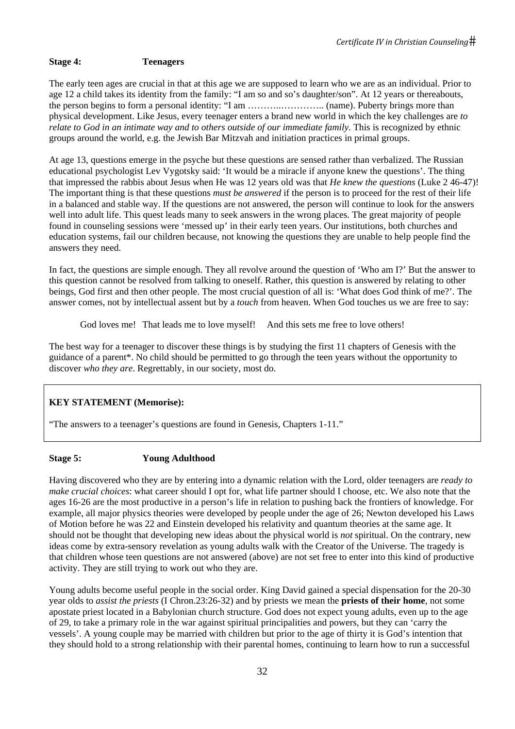# **Stage 4: Teenagers**

The early teen ages are crucial in that at this age we are supposed to learn who we are as an individual. Prior to age 12 a child takes its identity from the family: "I am so and so's daughter/son". At 12 years or thereabouts, the person begins to form a personal identity: "I am ………..………….. (name). Puberty brings more than physical development. Like Jesus, every teenager enters a brand new world in which the key challenges are *to relate to God in an intimate way and to others outside of our immediate family*. This is recognized by ethnic groups around the world, e.g. the Jewish Bar Mitzvah and initiation practices in primal groups.

At age 13, questions emerge in the psyche but these questions are sensed rather than verbalized. The Russian educational psychologist Lev Vygotsky said: 'It would be a miracle if anyone knew the questions'. The thing that impressed the rabbis about Jesus when He was 12 years old was that *He knew the questions* (Luke 2 46-47)! The important thing is that these questions *must be answered* if the person is to proceed for the rest of their life in a balanced and stable way. If the questions are not answered, the person will continue to look for the answers well into adult life. This quest leads many to seek answers in the wrong places. The great majority of people found in counseling sessions were 'messed up' in their early teen years. Our institutions, both churches and education systems, fail our children because, not knowing the questions they are unable to help people find the answers they need.

In fact, the questions are simple enough. They all revolve around the question of 'Who am I?' But the answer to this question cannot be resolved from talking to oneself. Rather, this question is answered by relating to other beings, God first and then other people. The most crucial question of all is: 'What does God think of me?'. The answer comes, not by intellectual assent but by a *touch* from heaven. When God touches us we are free to say:

God loves me! That leads me to love myself! And this sets me free to love others!

The best way for a teenager to discover these things is by studying the first 11 chapters of Genesis with the guidance of a parent\*. No child should be permitted to go through the teen years without the opportunity to discover *who they are*. Regrettably, in our society, most do.

# **KEY STATEMENT (Memorise):**

"The answers to a teenager's questions are found in Genesis, Chapters 1-11."

# **Stage 5: Young Adulthood**

Having discovered who they are by entering into a dynamic relation with the Lord, older teenagers are *ready to make crucial choices*: what career should I opt for, what life partner should I choose, etc. We also note that the ages 16-26 are the most productive in a person's life in relation to pushing back the frontiers of knowledge. For example, all major physics theories were developed by people under the age of 26; Newton developed his Laws of Motion before he was 22 and Einstein developed his relativity and quantum theories at the same age. It should not be thought that developing new ideas about the physical world is *not* spiritual. On the contrary, new ideas come by extra-sensory revelation as young adults walk with the Creator of the Universe. The tragedy is that children whose teen questions are not answered (above) are not set free to enter into this kind of productive activity. They are still trying to work out who they are.

Young adults become useful people in the social order. King David gained a special dispensation for the 20-30 year olds to *assist the priests* (I Chron.23:26-32) and by priests we mean the **priests of their home**, not some apostate priest located in a Babylonian church structure. God does not expect young adults, even up to the age of 29, to take a primary role in the war against spiritual principalities and powers, but they can 'carry the vessels'. A young couple may be married with children but prior to the age of thirty it is God's intention that they should hold to a strong relationship with their parental homes, continuing to learn how to run a successful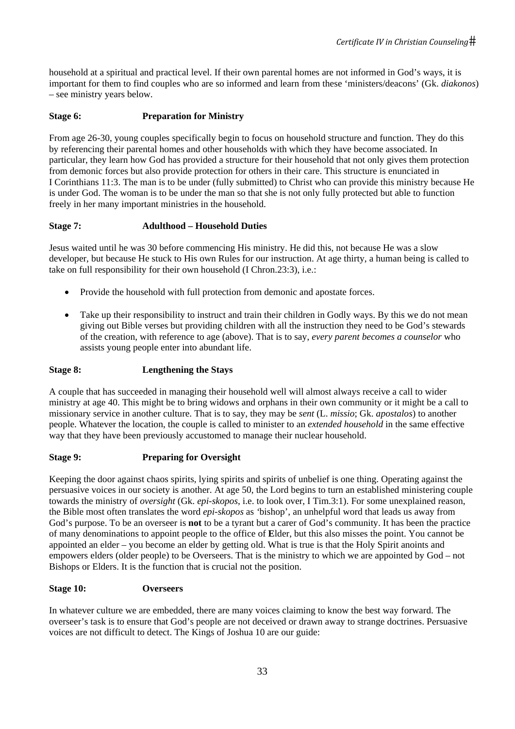household at a spiritual and practical level. If their own parental homes are not informed in God's ways, it is important for them to find couples who are so informed and learn from these 'ministers/deacons' (Gk. *diakonos*) – see ministry years below.

# **Stage 6: Preparation for Ministry**

From age 26-30, young couples specifically begin to focus on household structure and function. They do this by referencing their parental homes and other households with which they have become associated. In particular, they learn how God has provided a structure for their household that not only gives them protection from demonic forces but also provide protection for others in their care. This structure is enunciated in I Corinthians 11:3. The man is to be under (fully submitted) to Christ who can provide this ministry because He is under God. The woman is to be under the man so that she is not only fully protected but able to function freely in her many important ministries in the household.

# **Stage 7: Adulthood – Household Duties**

Jesus waited until he was 30 before commencing His ministry. He did this, not because He was a slow developer, but because He stuck to His own Rules for our instruction. At age thirty, a human being is called to take on full responsibility for their own household (I Chron.23:3), i.e.:

- Provide the household with full protection from demonic and apostate forces.
- Take up their responsibility to instruct and train their children in Godly ways. By this we do not mean giving out Bible verses but providing children with all the instruction they need to be God's stewards of the creation, with reference to age (above). That is to say, *every parent becomes a counselor* who assists young people enter into abundant life.

# **Stage 8: Lengthening the Stays**

A couple that has succeeded in managing their household well will almost always receive a call to wider ministry at age 40. This might be to bring widows and orphans in their own community or it might be a call to missionary service in another culture. That is to say, they may be *sent* (L. *missio*; Gk. *apostalos*) to another people. Whatever the location, the couple is called to minister to an *extended household* in the same effective way that they have been previously accustomed to manage their nuclear household.

# **Stage 9: Preparing for Oversight**

Keeping the door against chaos spirits, lying spirits and spirits of unbelief is one thing. Operating against the persuasive voices in our society is another. At age 50, the Lord begins to turn an established ministering couple towards the ministry of *oversight* (Gk. *epi-skopos*, i.e. to look over, I Tim.3:1). For some unexplained reason, the Bible most often translates the word *epi-skopos* as *'*bishop', an unhelpful word that leads us away from God's purpose. To be an overseer is **not** to be a tyrant but a carer of God's community. It has been the practice of many denominations to appoint people to the office of **E**lder, but this also misses the point. You cannot be appointed an elder – you become an elder by getting old. What is true is that the Holy Spirit anoints and empowers elders (older people) to be Overseers. That is the ministry to which we are appointed by God – not Bishops or Elders. It is the function that is crucial not the position.

# **Stage 10: Overseers**

In whatever culture we are embedded, there are many voices claiming to know the best way forward. The overseer's task is to ensure that God's people are not deceived or drawn away to strange doctrines. Persuasive voices are not difficult to detect. The Kings of Joshua 10 are our guide: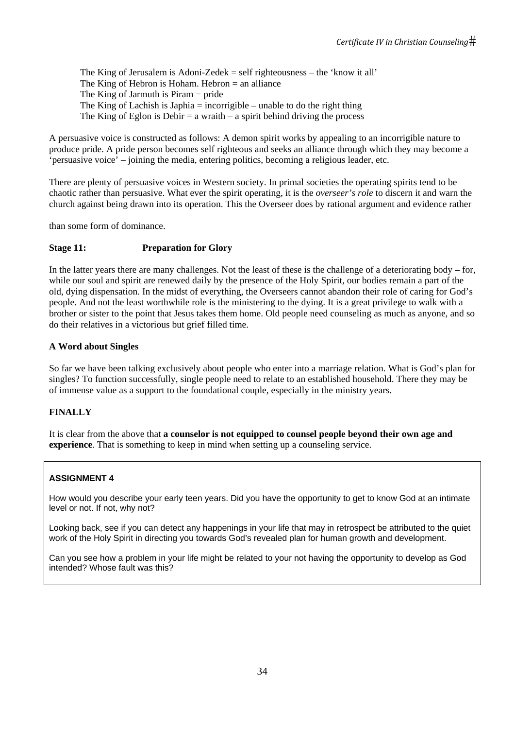The King of Jerusalem is Adoni-Zedek = self righteousness – the 'know it all' The King of Hebron is Hoham. Hebron  $=$  an alliance The King of Jarmuth is Piram = pride The King of Lachish is Japhia  $=$  incorrigible  $-$  unable to do the right thing The King of Eglon is Debir  $=$  a wraith  $-$  a spirit behind driving the process

A persuasive voice is constructed as follows: A demon spirit works by appealing to an incorrigible nature to produce pride. A pride person becomes self righteous and seeks an alliance through which they may become a 'persuasive voice' – joining the media, entering politics, becoming a religious leader, etc.

There are plenty of persuasive voices in Western society. In primal societies the operating spirits tend to be chaotic rather than persuasive. What ever the spirit operating, it is the *overseer's role* to discern it and warn the church against being drawn into its operation. This the Overseer does by rational argument and evidence rather

than some form of dominance.

# **Stage 11: Preparation for Glory**

In the latter years there are many challenges. Not the least of these is the challenge of a deteriorating body – for, while our soul and spirit are renewed daily by the presence of the Holy Spirit, our bodies remain a part of the old, dying dispensation. In the midst of everything, the Overseers cannot abandon their role of caring for God's people. And not the least worthwhile role is the ministering to the dying. It is a great privilege to walk with a brother or sister to the point that Jesus takes them home. Old people need counseling as much as anyone, and so do their relatives in a victorious but grief filled time.

## **A Word about Singles**

So far we have been talking exclusively about people who enter into a marriage relation. What is God's plan for singles? To function successfully, single people need to relate to an established household. There they may be of immense value as a support to the foundational couple, especially in the ministry years.

# **FINALLY**

It is clear from the above that **a counselor is not equipped to counsel people beyond their own age and experience**. That is something to keep in mind when setting up a counseling service.

# **ASSIGNMENT 4**

How would you describe your early teen years. Did you have the opportunity to get to know God at an intimate level or not. If not, why not?

Looking back, see if you can detect any happenings in your life that may in retrospect be attributed to the quiet work of the Holy Spirit in directing you towards God's revealed plan for human growth and development.

Can you see how a problem in your life might be related to your not having the opportunity to develop as God intended? Whose fault was this?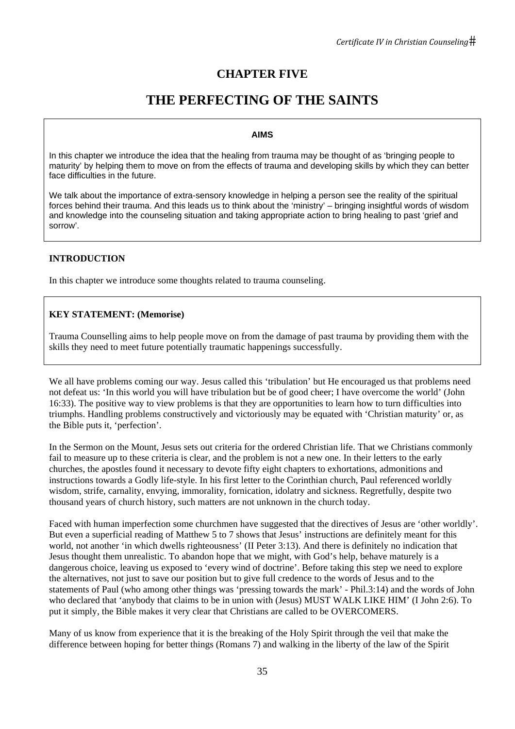# **CHAPTER FIVE**

# **THE PERFECTING OF THE SAINTS**

# **AIMS**

In this chapter we introduce the idea that the healing from trauma may be thought of as 'bringing people to maturity' by helping them to move on from the effects of trauma and developing skills by which they can better face difficulties in the future.

We talk about the importance of extra-sensory knowledge in helping a person see the reality of the spiritual forces behind their trauma. And this leads us to think about the 'ministry' – bringing insightful words of wisdom and knowledge into the counseling situation and taking appropriate action to bring healing to past 'grief and sorrow'.

# **INTRODUCTION**

In this chapter we introduce some thoughts related to trauma counseling.

# **KEY STATEMENT: (Memorise)**

Trauma Counselling aims to help people move on from the damage of past trauma by providing them with the skills they need to meet future potentially traumatic happenings successfully.

We all have problems coming our way. Jesus called this 'tribulation' but He encouraged us that problems need not defeat us: 'In this world you will have tribulation but be of good cheer; I have overcome the world' (John 16:33). The positive way to view problems is that they are opportunities to learn how to turn difficulties into triumphs. Handling problems constructively and victoriously may be equated with 'Christian maturity' or, as the Bible puts it, 'perfection'.

In the Sermon on the Mount, Jesus sets out criteria for the ordered Christian life. That we Christians commonly fail to measure up to these criteria is clear, and the problem is not a new one. In their letters to the early churches, the apostles found it necessary to devote fifty eight chapters to exhortations, admonitions and instructions towards a Godly life-style. In his first letter to the Corinthian church, Paul referenced worldly wisdom, strife, carnality, envying, immorality, fornication, idolatry and sickness. Regretfully, despite two thousand years of church history, such matters are not unknown in the church today.

Faced with human imperfection some churchmen have suggested that the directives of Jesus are 'other worldly'. But even a superficial reading of Matthew 5 to 7 shows that Jesus' instructions are definitely meant for this world, not another 'in which dwells righteousness' (II Peter 3:13). And there is definitely no indication that Jesus thought them unrealistic. To abandon hope that we might, with God's help, behave maturely is a dangerous choice, leaving us exposed to 'every wind of doctrine'. Before taking this step we need to explore the alternatives, not just to save our position but to give full credence to the words of Jesus and to the statements of Paul (who among other things was 'pressing towards the mark' - Phil.3:14) and the words of John who declared that 'anybody that claims to be in union with (Jesus) MUST WALK LIKE HIM' (I John 2:6). To put it simply, the Bible makes it very clear that Christians are called to be OVERCOMERS.

Many of us know from experience that it is the breaking of the Holy Spirit through the veil that make the difference between hoping for better things (Romans 7) and walking in the liberty of the law of the Spirit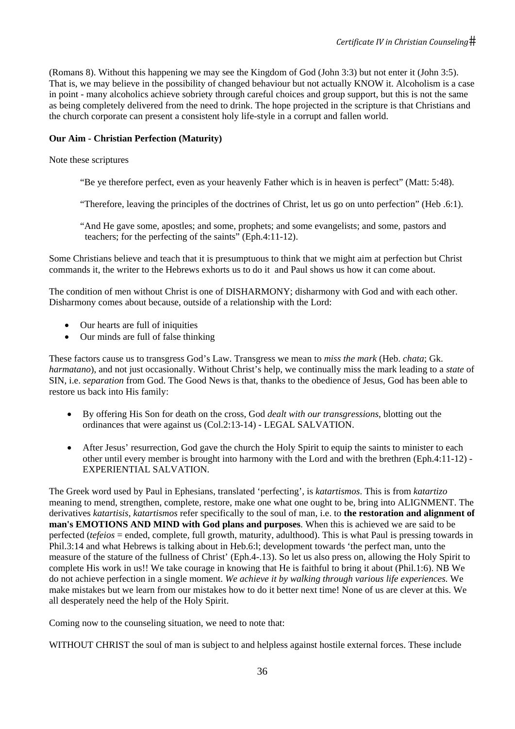(Romans 8). Without this happening we may see the Kingdom of God (John 3:3) but not enter it (John 3:5). That is, we may believe in the possibility of changed behaviour but not actually KNOW it. Alcoholism is a case in point - many alcoholics achieve sobriety through careful choices and group support, but this is not the same as being completely delivered from the need to drink. The hope projected in the scripture is that Christians and the church corporate can present a consistent holy life-style in a corrupt and fallen world.

# **Our Aim - Christian Perfection (Maturity)**

## Note these scriptures

- "Be ye therefore perfect, even as your heavenly Father which is in heaven is perfect" (Matt: 5:48).
- "Therefore, leaving the principles of the doctrines of Christ, let us go on unto perfection" (Heb .6:1).
- "And He gave some, apostles; and some, prophets; and some evangelists; and some, pastors and teachers; for the perfecting of the saints" (Eph.4:11-12).

Some Christians believe and teach that it is presumptuous to think that we might aim at perfection but Christ commands it, the writer to the Hebrews exhorts us to do it and Paul shows us how it can come about.

The condition of men without Christ is one of DISHARMONY; disharmony with God and with each other. Disharmony comes about because, outside of a relationship with the Lord:

- Our hearts are full of iniquities
- Our minds are full of false thinking

These factors cause us to transgress God's Law. Transgress we mean to *miss the mark* (Heb. *chata*; Gk. *harmatano*), and not just occasionally. Without Christ's help, we continually miss the mark leading to a *state* of SIN, i.e. *separation* from God. The Good News is that, thanks to the obedience of Jesus, God has been able to restore us back into His family:

- By offering His Son for death on the cross, God *dealt with our transgressions*, blotting out the ordinances that were against us (Col.2:13-14) - LEGAL SALVATION.
- After Jesus' resurrection, God gave the church the Holy Spirit to equip the saints to minister to each other until every member is brought into harmony with the Lord and with the brethren (Eph.4:11-12) - EXPERIENTIAL SALVATION.

The Greek word used by Paul in Ephesians, translated 'perfecting', is *katartismos*. This is from *katartizo* meaning to mend, strengthen, complete, restore, make one what one ought to be, bring into ALIGNMENT. The derivatives *katartisis*, *katartismos* refer specifically to the soul of man, i.e. to **the restoration and alignment of man's EMOTIONS AND MIND with God plans and purposes**. When this is achieved we are said to be perfected (*tefeios* = ended, complete, full growth, maturity, adulthood). This is what Paul is pressing towards in Phil.3:14 and what Hebrews is talking about in Heb.6:l; development towards 'the perfect man, unto the measure of the stature of the fullness of Christ' (Eph.4-.13). So let us also press on, allowing the Holy Spirit to complete His work in us!! We take courage in knowing that He is faithful to bring it about (Phil.1:6). NB We do not achieve perfection in a single moment. *We achieve it by walking through various life experiences*. We make mistakes but we learn from our mistakes how to do it better next time! None of us are clever at this. We all desperately need the help of the Holy Spirit.

Coming now to the counseling situation, we need to note that:

WITHOUT CHRIST the soul of man is subject to and helpless against hostile external forces. These include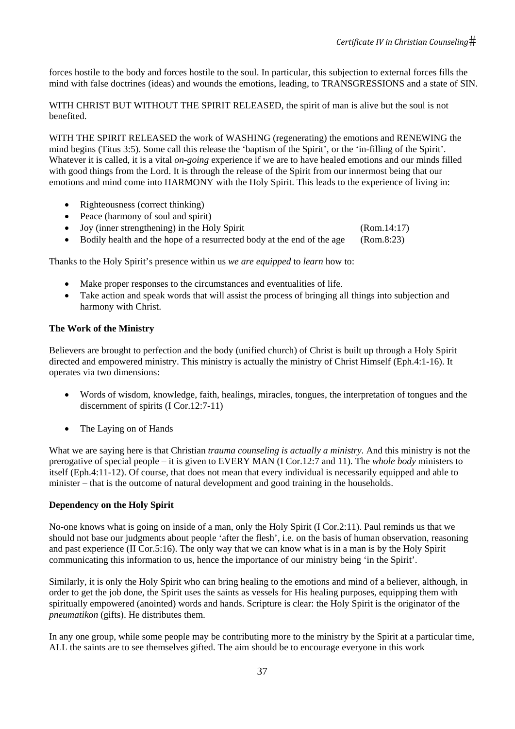forces hostile to the body and forces hostile to the soul. In particular, this subjection to external forces fills the mind with false doctrines (ideas) and wounds the emotions, leading, to TRANSGRESSIONS and a state of SIN.

WITH CHRIST BUT WITHOUT THE SPIRIT RELEASED, the spirit of man is alive but the soul is not benefited.

WITH THE SPIRIT RELEASED the work of WASHING (regenerating) the emotions and RENEWING the mind begins (Titus 3:5). Some call this release the 'baptism of the Spirit', or the 'in-filling of the Spirit'. Whatever it is called, it is a vital *on-going* experience if we are to have healed emotions and our minds filled with good things from the Lord. It is through the release of the Spirit from our innermost being that our emotions and mind come into HARMONY with the Holy Spirit. This leads to the experience of living in:

- Righteousness (correct thinking)
- Peace (harmony of soul and spirit)
- Joy (inner strengthening) in the Holy Spirit (Rom.14:17)
- Bodily health and the hope of a resurrected body at the end of the age (Rom.8:23)

Thanks to the Holy Spirit's presence within us *we are equipped* to *learn* how to:

- Make proper responses to the circumstances and eventualities of life.
- Take action and speak words that will assist the process of bringing all things into subjection and harmony with Christ.

#### **The Work of the Ministry**

Believers are brought to perfection and the body (unified church) of Christ is built up through a Holy Spirit directed and empowered ministry. This ministry is actually the ministry of Christ Himself (Eph.4:1-16). It operates via two dimensions:

- Words of wisdom, knowledge, faith, healings, miracles, tongues, the interpretation of tongues and the discernment of spirits (I Cor.12:7-11)
- The Laying on of Hands

What we are saying here is that Christian *trauma counseling is actually a ministry*. And this ministry is not the prerogative of special people – it is given to EVERY MAN (I Cor.12:7 and 11). The *whole body* ministers to itself (Eph.4:11-12). Of course, that does not mean that every individual is necessarily equipped and able to minister – that is the outcome of natural development and good training in the households.

#### **Dependency on the Holy Spirit**

No-one knows what is going on inside of a man, only the Holy Spirit (I Cor.2:11). Paul reminds us that we should not base our judgments about people 'after the flesh', i.e. on the basis of human observation, reasoning and past experience (II Cor.5:16). The only way that we can know what is in a man is by the Holy Spirit communicating this information to us, hence the importance of our ministry being 'in the Spirit'.

Similarly, it is only the Holy Spirit who can bring healing to the emotions and mind of a believer, although, in order to get the job done, the Spirit uses the saints as vessels for His healing purposes, equipping them with spiritually empowered (anointed) words and hands. Scripture is clear: the Holy Spirit is the originator of the *pneumatikon* (gifts). He distributes them.

In any one group, while some people may be contributing more to the ministry by the Spirit at a particular time, ALL the saints are to see themselves gifted. The aim should be to encourage everyone in this work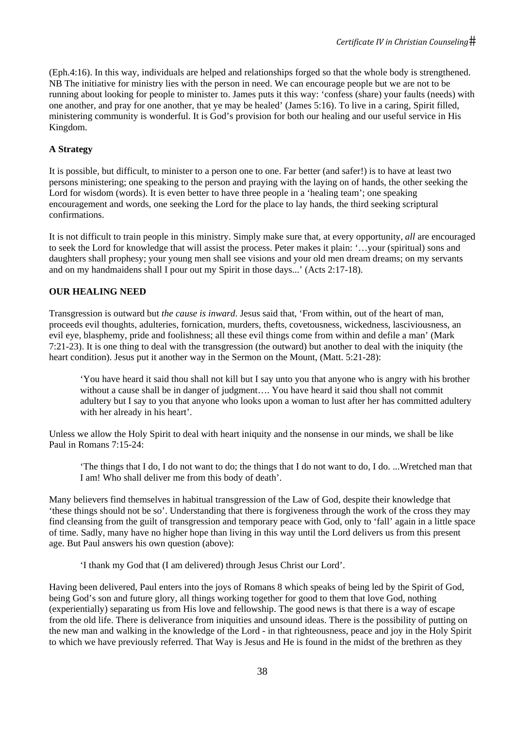(Eph.4:16). In this way, individuals are helped and relationships forged so that the whole body is strengthened. NB The initiative for ministry lies with the person in need. We can encourage people but we are not to be running about looking for people to minister to. James puts it this way: 'confess (share) your faults (needs) with one another, and pray for one another, that ye may be healed' (James 5:16). To live in a caring, Spirit filled, ministering community is wonderful. It is God's provision for both our healing and our useful service in His Kingdom.

# **A Strategy**

It is possible, but difficult, to minister to a person one to one. Far better (and safer!) is to have at least two persons ministering; one speaking to the person and praying with the laying on of hands, the other seeking the Lord for wisdom (words). It is even better to have three people in a 'healing team'; one speaking encouragement and words, one seeking the Lord for the place to lay hands, the third seeking scriptural confirmations.

It is not difficult to train people in this ministry. Simply make sure that, at every opportunity, *all* are encouraged to seek the Lord for knowledge that will assist the process. Peter makes it plain: '…your (spiritual) sons and daughters shall prophesy; your young men shall see visions and your old men dream dreams; on my servants and on my handmaidens shall I pour out my Spirit in those days...' (Acts 2:17-18).

# **OUR HEALING NEED**

Transgression is outward but *the cause is inward*. Jesus said that, 'From within, out of the heart of man, proceeds evil thoughts, adulteries, fornication, murders, thefts, covetousness, wickedness, lasciviousness, an evil eye, blasphemy, pride and foolishness; all these evil things come from within and defile a man' (Mark 7:21-23). It is one thing to deal with the transgression (the outward) but another to deal with the iniquity (the heart condition). Jesus put it another way in the Sermon on the Mount, (Matt. 5:21-28):

'You have heard it said thou shall not kill but I say unto you that anyone who is angry with his brother without a cause shall be in danger of judgment.... You have heard it said thou shall not commit adultery but I say to you that anyone who looks upon a woman to lust after her has committed adultery with her already in his heart'.

Unless we allow the Holy Spirit to deal with heart iniquity and the nonsense in our minds, we shall be like Paul in Romans 7:15-24:

'The things that I do, I do not want to do; the things that I do not want to do, I do. ...Wretched man that I am! Who shall deliver me from this body of death'.

Many believers find themselves in habitual transgression of the Law of God, despite their knowledge that 'these things should not be so'. Understanding that there is forgiveness through the work of the cross they may find cleansing from the guilt of transgression and temporary peace with God, only to 'fall' again in a little space of time. Sadly, many have no higher hope than living in this way until the Lord delivers us from this present age. But Paul answers his own question (above):

'I thank my God that (I am delivered) through Jesus Christ our Lord'.

Having been delivered, Paul enters into the joys of Romans 8 which speaks of being led by the Spirit of God, being God's son and future glory, all things working together for good to them that love God, nothing (experientially) separating us from His love and fellowship. The good news is that there is a way of escape from the old life. There is deliverance from iniquities and unsound ideas. There is the possibility of putting on the new man and walking in the knowledge of the Lord - in that righteousness, peace and joy in the Holy Spirit to which we have previously referred. That Way is Jesus and He is found in the midst of the brethren as they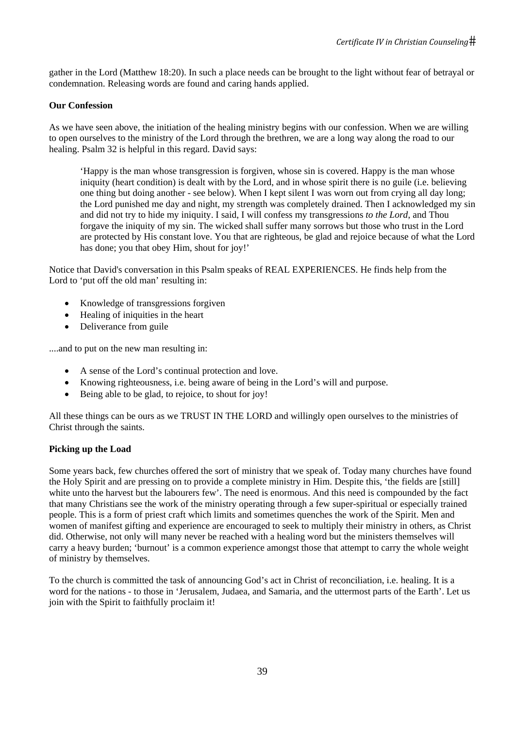gather in the Lord (Matthew 18:20). In such a place needs can be brought to the light without fear of betrayal or condemnation. Releasing words are found and caring hands applied.

## **Our Confession**

As we have seen above, the initiation of the healing ministry begins with our confession. When we are willing to open ourselves to the ministry of the Lord through the brethren, we are a long way along the road to our healing. Psalm 32 is helpful in this regard. David says:

'Happy is the man whose transgression is forgiven, whose sin is covered. Happy is the man whose iniquity (heart condition) is dealt with by the Lord, and in whose spirit there is no guile (i.e. believing one thing but doing another - see below). When I kept silent I was worn out from crying all day long; the Lord punished me day and night, my strength was completely drained. Then I acknowledged my sin and did not try to hide my iniquity. I said, I will confess my transgressions *to the Lord*, and Thou forgave the iniquity of my sin. The wicked shall suffer many sorrows but those who trust in the Lord are protected by His constant love. You that are righteous, be glad and rejoice because of what the Lord has done; you that obey Him, shout for joy!'

Notice that David's conversation in this Psalm speaks of REAL EXPERIENCES. He finds help from the Lord to 'put off the old man' resulting in:

- Knowledge of transgressions for given
- Healing of iniquities in the heart
- Deliverance from guile

....and to put on the new man resulting in:

- A sense of the Lord's continual protection and love.
- Knowing righteousness, i.e. being aware of being in the Lord's will and purpose.
- Being able to be glad, to rejoice, to shout for joy!

All these things can be ours as we TRUST IN THE LORD and willingly open ourselves to the ministries of Christ through the saints.

# **Picking up the Load**

Some years back, few churches offered the sort of ministry that we speak of. Today many churches have found the Holy Spirit and are pressing on to provide a complete ministry in Him. Despite this, 'the fields are [still] white unto the harvest but the labourers few'. The need is enormous. And this need is compounded by the fact that many Christians see the work of the ministry operating through a few super-spiritual or especially trained people. This is a form of priest craft which limits and sometimes quenches the work of the Spirit. Men and women of manifest gifting and experience are encouraged to seek to multiply their ministry in others, as Christ did. Otherwise, not only will many never be reached with a healing word but the ministers themselves will carry a heavy burden; 'burnout' is a common experience amongst those that attempt to carry the whole weight of ministry by themselves.

To the church is committed the task of announcing God's act in Christ of reconciliation, i.e. healing. It is a word for the nations - to those in 'Jerusalem, Judaea, and Samaria, and the uttermost parts of the Earth'. Let us join with the Spirit to faithfully proclaim it!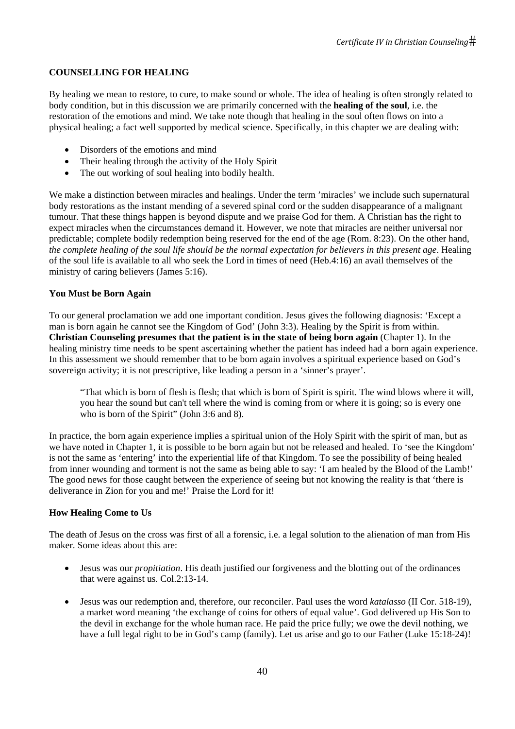# **COUNSELLING FOR HEALING**

By healing we mean to restore, to cure, to make sound or whole. The idea of healing is often strongly related to body condition, but in this discussion we are primarily concerned with the **healing of the soul**, i.e. the restoration of the emotions and mind. We take note though that healing in the soul often flows on into a physical healing; a fact well supported by medical science. Specifically, in this chapter we are dealing with:

- Disorders of the emotions and mind
- Their healing through the activity of the Holy Spirit
- The out working of soul healing into bodily health.

We make a distinction between miracles and healings. Under the term 'miracles' we include such supernatural body restorations as the instant mending of a severed spinal cord or the sudden disappearance of a malignant tumour. That these things happen is beyond dispute and we praise God for them. A Christian has the right to expect miracles when the circumstances demand it. However, we note that miracles are neither universal nor predictable; complete bodily redemption being reserved for the end of the age (Rom. 8:23). On the other hand, *the complete healing of the soul life should be the normal expectation for believers in this present age*. Healing of the soul life is available to all who seek the Lord in times of need (Heb.4:16) an avail themselves of the ministry of caring believers (James 5:16).

# **You Must be Born Again**

To our general proclamation we add one important condition. Jesus gives the following diagnosis: 'Except a man is born again he cannot see the Kingdom of God' (John 3:3). Healing by the Spirit is from within. **Christian Counseling presumes that the patient is in the state of being born again** (Chapter 1). In the healing ministry time needs to be spent ascertaining whether the patient has indeed had a born again experience. In this assessment we should remember that to be born again involves a spiritual experience based on God's sovereign activity; it is not prescriptive, like leading a person in a 'sinner's prayer'.

"That which is born of flesh is flesh; that which is born of Spirit is spirit. The wind blows where it will, you hear the sound but can't tell where the wind is coming from or where it is going; so is every one who is born of the Spirit" (John 3:6 and 8).

In practice, the born again experience implies a spiritual union of the Holy Spirit with the spirit of man, but as we have noted in Chapter 1, it is possible to be born again but not be released and healed. To 'see the Kingdom' is not the same as 'entering' into the experiential life of that Kingdom. To see the possibility of being healed from inner wounding and torment is not the same as being able to say: 'I am healed by the Blood of the Lamb!' The good news for those caught between the experience of seeing but not knowing the reality is that 'there is deliverance in Zion for you and me!' Praise the Lord for it!

# **How Healing Come to Us**

The death of Jesus on the cross was first of all a forensic, i.e. a legal solution to the alienation of man from His maker. Some ideas about this are:

- Jesus was our *propitiation*. His death justified our forgiveness and the blotting out of the ordinances that were against us. Col.2:13-14.
- Jesus was our redemption and, therefore, our reconciler. Paul uses the word *katalasso* (II Cor. 518-19), a market word meaning 'the exchange of coins for others of equal value'. God delivered up His Son to the devil in exchange for the whole human race. He paid the price fully; we owe the devil nothing, we have a full legal right to be in God's camp (family). Let us arise and go to our Father (Luke 15:18-24)!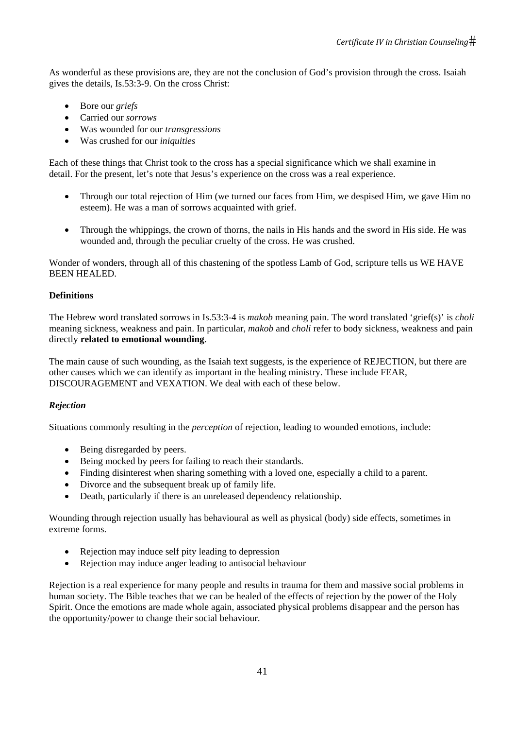As wonderful as these provisions are, they are not the conclusion of God's provision through the cross. Isaiah gives the details, Is.53:3-9. On the cross Christ:

- Bore our *griefs*
- Carried our *sorrows*
- Was wounded for our *transgressions*
- Was crushed for our *iniquities*

Each of these things that Christ took to the cross has a special significance which we shall examine in detail. For the present, let's note that Jesus's experience on the cross was a real experience.

- Through our total rejection of Him (we turned our faces from Him, we despised Him, we gave Him no esteem). He was a man of sorrows acquainted with grief.
- Through the whippings, the crown of thorns, the nails in His hands and the sword in His side. He was wounded and, through the peculiar cruelty of the cross. He was crushed.

Wonder of wonders, through all of this chastening of the spotless Lamb of God, scripture tells us WE HAVE BEEN HEALED.

# **Definitions**

The Hebrew word translated sorrows in Is.53:3-4 is *makob* meaning pain. The word translated 'grief(s)' is *choli*  meaning sickness, weakness and pain. In particular, *makob* and *choli* refer to body sickness, weakness and pain directly **related to emotional wounding**.

The main cause of such wounding, as the Isaiah text suggests, is the experience of REJECTION, but there are other causes which we can identify as important in the healing ministry. These include FEAR, DISCOURAGEMENT and VEXATION. We deal with each of these below.

# *Rejection*

Situations commonly resulting in the *perception* of rejection, leading to wounded emotions, include:

- Being disregarded by peers.
- Being mocked by peers for failing to reach their standards.
- Finding disinterest when sharing something with a loved one, especially a child to a parent.
- Divorce and the subsequent break up of family life.
- Death, particularly if there is an unreleased dependency relationship.

Wounding through rejection usually has behavioural as well as physical (body) side effects, sometimes in extreme forms.

- Rejection may induce self pity leading to depression
- Rejection may induce anger leading to antisocial behaviour

Rejection is a real experience for many people and results in trauma for them and massive social problems in human society. The Bible teaches that we can be healed of the effects of rejection by the power of the Holy Spirit. Once the emotions are made whole again, associated physical problems disappear and the person has the opportunity/power to change their social behaviour.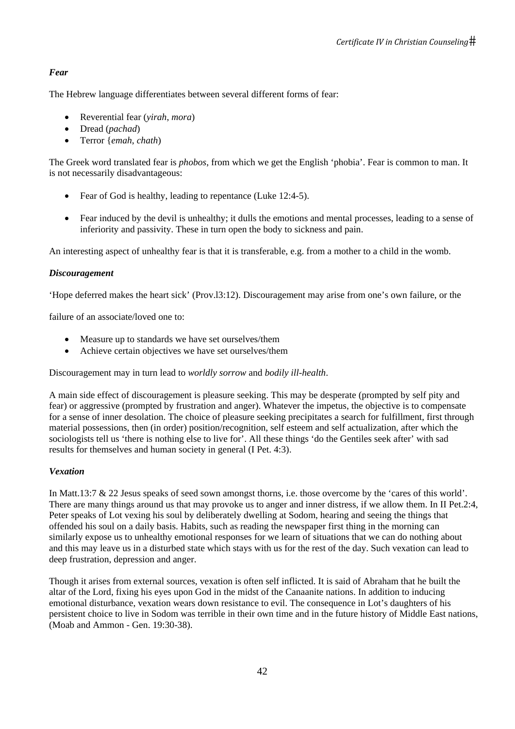# *Fear*

The Hebrew language differentiates between several different forms of fear:

- Reverential fear (*yirah*, *mora*)
- Dread (*pachad*)
- Terror {*emah*, *chath*)

The Greek word translated fear is *phobos*, from which we get the English 'phobia'. Fear is common to man. It is not necessarily disadvantageous:

- Fear of God is healthy, leading to repentance (Luke 12:4-5).
- Fear induced by the devil is unhealthy; it dulls the emotions and mental processes, leading to a sense of inferiority and passivity. These in turn open the body to sickness and pain.

An interesting aspect of unhealthy fear is that it is transferable, e.g. from a mother to a child in the womb.

## *Discouragement*

'Hope deferred makes the heart sick' (Prov.l3:12). Discouragement may arise from one's own failure, or the

failure of an associate/loved one to:

- Measure up to standards we have set ourselves/them
- Achieve certain objectives we have set ourselves/them

Discouragement may in turn lead to *worldly sorrow* and *bodily ill-health*.

A main side effect of discouragement is pleasure seeking. This may be desperate (prompted by self pity and fear) or aggressive (prompted by frustration and anger). Whatever the impetus, the objective is to compensate for a sense of inner desolation. The choice of pleasure seeking precipitates a search for fulfillment, first through material possessions, then (in order) position/recognition, self esteem and self actualization, after which the sociologists tell us 'there is nothing else to live for'. All these things 'do the Gentiles seek after' with sad results for themselves and human society in general (I Pet. 4:3).

# *Vexation*

In Matt.13:7 & 22 Jesus speaks of seed sown amongst thorns, i.e. those overcome by the 'cares of this world'. There are many things around us that may provoke us to anger and inner distress, if we allow them. In II Pet.2:4, Peter speaks of Lot vexing his soul by deliberately dwelling at Sodom, hearing and seeing the things that offended his soul on a daily basis. Habits, such as reading the newspaper first thing in the morning can similarly expose us to unhealthy emotional responses for we learn of situations that we can do nothing about and this may leave us in a disturbed state which stays with us for the rest of the day. Such vexation can lead to deep frustration, depression and anger.

Though it arises from external sources, vexation is often self inflicted. It is said of Abraham that he built the altar of the Lord, fixing his eyes upon God in the midst of the Canaanite nations. In addition to inducing emotional disturbance, vexation wears down resistance to evil. The consequence in Lot's daughters of his persistent choice to live in Sodom was terrible in their own time and in the future history of Middle East nations, (Moab and Ammon - Gen. 19:30-38).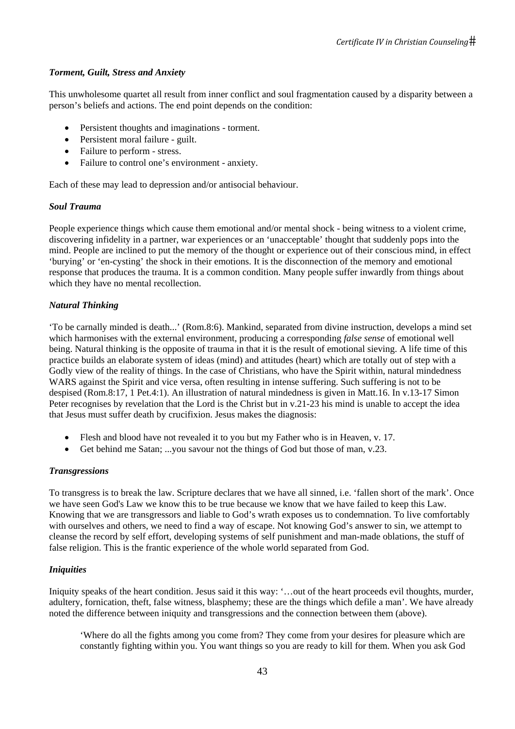# *Torment, Guilt, Stress and Anxiety*

This unwholesome quartet all result from inner conflict and soul fragmentation caused by a disparity between a person's beliefs and actions. The end point depends on the condition:

- Persistent thoughts and imaginations torment.
- Persistent moral failure guilt.
- Failure to perform stress.
- Failure to control one's environment anxiety.

Each of these may lead to depression and/or antisocial behaviour.

# *Soul Trauma*

People experience things which cause them emotional and/or mental shock - being witness to a violent crime, discovering infidelity in a partner, war experiences or an 'unacceptable' thought that suddenly pops into the mind. People are inclined to put the memory of the thought or experience out of their conscious mind, in effect 'burying' or 'en-cysting' the shock in their emotions. It is the disconnection of the memory and emotional response that produces the trauma. It is a common condition. Many people suffer inwardly from things about which they have no mental recollection.

# *Natural Thinking*

'To be carnally minded is death...' (Rom.8:6). Mankind, separated from divine instruction, develops a mind set which harmonises with the external environment, producing a corresponding *false sense* of emotional well being. Natural thinking is the opposite of trauma in that it is the result of emotional sieving. A life time of this practice builds an elaborate system of ideas (mind) and attitudes (heart) which are totally out of step with a Godly view of the reality of things. In the case of Christians, who have the Spirit within, natural mindedness WARS against the Spirit and vice versa, often resulting in intense suffering. Such suffering is not to be despised (Rom.8:17, 1 Pet.4:1). An illustration of natural mindedness is given in Matt.16. In v.13-17 Simon Peter recognises by revelation that the Lord is the Christ but in v.21-23 his mind is unable to accept the idea that Jesus must suffer death by crucifixion. Jesus makes the diagnosis:

- Flesh and blood have not revealed it to you but my Father who is in Heaven, v. 17.
- Get behind me Satan; ...you savour not the things of God but those of man, v.23.

# *Transgressions*

To transgress is to break the law. Scripture declares that we have all sinned, i.e. 'fallen short of the mark'. Once we have seen God's Law we know this to be true because we know that we have failed to keep this Law. Knowing that we are transgressors and liable to God's wrath exposes us to condemnation. To live comfortably with ourselves and others, we need to find a way of escape. Not knowing God's answer to sin, we attempt to cleanse the record by self effort, developing systems of self punishment and man-made oblations, the stuff of false religion. This is the frantic experience of the whole world separated from God.

# *Iniquities*

Iniquity speaks of the heart condition. Jesus said it this way: '...out of the heart proceeds evil thoughts, murder, adultery, fornication, theft, false witness, blasphemy; these are the things which defile a man'. We have already noted the difference between iniquity and transgressions and the connection between them (above).

'Where do all the fights among you come from? They come from your desires for pleasure which are constantly fighting within you. You want things so you are ready to kill for them. When you ask God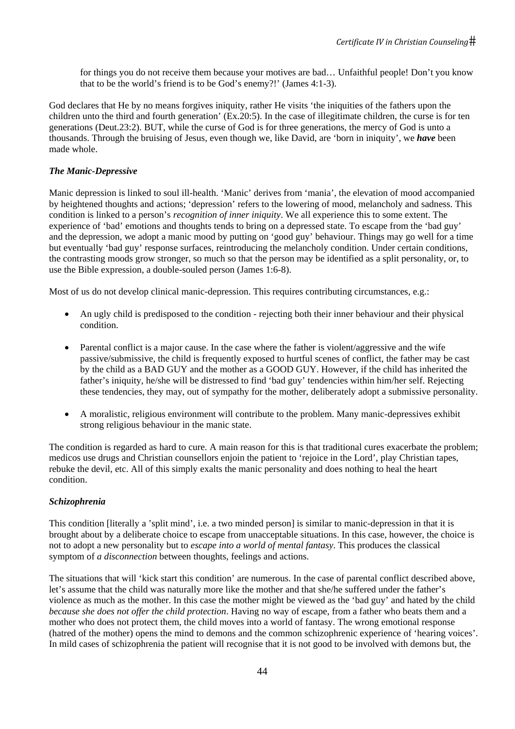for things you do not receive them because your motives are bad… Unfaithful people! Don't you know that to be the world's friend is to be God's enemy?!' (James 4:1-3).

God declares that He by no means forgives iniquity, rather He visits 'the iniquities of the fathers upon the children unto the third and fourth generation' (Ex.20:5). In the case of illegitimate children, the curse is for ten generations (Deut.23:2). BUT, while the curse of God is for three generations, the mercy of God is unto a thousands. Through the bruising of Jesus, even though we, like David, are 'born in iniquity', we *have* been made whole.

## *The Manic-Depressive*

Manic depression is linked to soul ill-health. 'Manic' derives from 'mania', the elevation of mood accompanied by heightened thoughts and actions; 'depression' refers to the lowering of mood, melancholy and sadness. This condition is linked to a person's *recognition of inner iniquity*. We all experience this to some extent. The experience of 'bad' emotions and thoughts tends to bring on a depressed state. To escape from the 'bad guy' and the depression, we adopt a manic mood by putting on 'good guy' behaviour. Things may go well for a time but eventually 'bad guy' response surfaces, reintroducing the melancholy condition. Under certain conditions, the contrasting moods grow stronger, so much so that the person may be identified as a split personality, or, to use the Bible expression, a double-souled person (James 1:6-8).

Most of us do not develop clinical manic-depression. This requires contributing circumstances, e.g.:

- An ugly child is predisposed to the condition rejecting both their inner behaviour and their physical condition.
- Parental conflict is a major cause. In the case where the father is violent/aggressive and the wife passive/submissive, the child is frequently exposed to hurtful scenes of conflict, the father may be cast by the child as a BAD GUY and the mother as a GOOD GUY. However, if the child has inherited the father's iniquity, he/she will be distressed to find 'bad guy' tendencies within him/her self. Rejecting these tendencies, they may, out of sympathy for the mother, deliberately adopt a submissive personality.
- A moralistic, religious environment will contribute to the problem. Many manic-depressives exhibit strong religious behaviour in the manic state.

The condition is regarded as hard to cure. A main reason for this is that traditional cures exacerbate the problem; medicos use drugs and Christian counsellors enjoin the patient to 'rejoice in the Lord', play Christian tapes, rebuke the devil, etc. All of this simply exalts the manic personality and does nothing to heal the heart condition.

# *Schizophrenia*

This condition [literally a 'split mind', i.e. a two minded person] is similar to manic-depression in that it is brought about by a deliberate choice to escape from unacceptable situations. In this case, however, the choice is not to adopt a new personality but to *escape into a world of mental fantasy*. This produces the classical symptom of *a disconnection* between thoughts, feelings and actions.

The situations that will 'kick start this condition' are numerous. In the case of parental conflict described above, let's assume that the child was naturally more like the mother and that she/he suffered under the father's violence as much as the mother. In this case the mother might be viewed as the 'bad guy' and hated by the child *because she does not offer the child protection*. Having no way of escape, from a father who beats them and a mother who does not protect them, the child moves into a world of fantasy. The wrong emotional response (hatred of the mother) opens the mind to demons and the common schizophrenic experience of 'hearing voices'. In mild cases of schizophrenia the patient will recognise that it is not good to be involved with demons but, the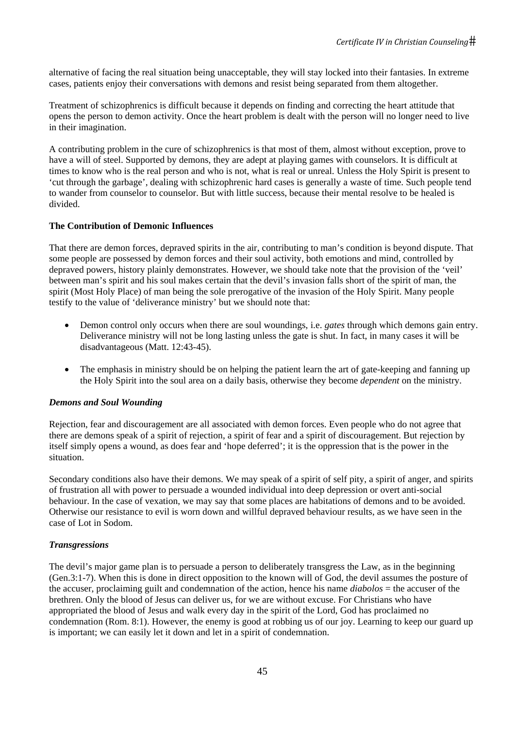alternative of facing the real situation being unacceptable, they will stay locked into their fantasies. In extreme cases, patients enjoy their conversations with demons and resist being separated from them altogether.

Treatment of schizophrenics is difficult because it depends on finding and correcting the heart attitude that opens the person to demon activity. Once the heart problem is dealt with the person will no longer need to live in their imagination.

A contributing problem in the cure of schizophrenics is that most of them, almost without exception, prove to have a will of steel. Supported by demons, they are adept at playing games with counselors. It is difficult at times to know who is the real person and who is not, what is real or unreal. Unless the Holy Spirit is present to 'cut through the garbage', dealing with schizophrenic hard cases is generally a waste of time. Such people tend to wander from counselor to counselor. But with little success, because their mental resolve to be healed is divided.

# **The Contribution of Demonic Influences**

That there are demon forces, depraved spirits in the air, contributing to man's condition is beyond dispute. That some people are possessed by demon forces and their soul activity, both emotions and mind, controlled by depraved powers, history plainly demonstrates. However, we should take note that the provision of the 'veil' between man's spirit and his soul makes certain that the devil's invasion falls short of the spirit of man, the spirit (Most Holy Place) of man being the sole prerogative of the invasion of the Holy Spirit. Many people testify to the value of 'deliverance ministry' but we should note that:

- Demon control only occurs when there are soul woundings, i.e. *gates* through which demons gain entry. Deliverance ministry will not be long lasting unless the gate is shut. In fact, in many cases it will be disadvantageous (Matt. 12:43-45).
- The emphasis in ministry should be on helping the patient learn the art of gate-keeping and fanning up the Holy Spirit into the soul area on a daily basis, otherwise they become *dependent* on the ministry.

#### *Demons and Soul Wounding*

Rejection, fear and discouragement are all associated with demon forces. Even people who do not agree that there are demons speak of a spirit of rejection, a spirit of fear and a spirit of discouragement. But rejection by itself simply opens a wound, as does fear and 'hope deferred'; it is the oppression that is the power in the situation.

Secondary conditions also have their demons. We may speak of a spirit of self pity, a spirit of anger, and spirits of frustration all with power to persuade a wounded individual into deep depression or overt anti-social behaviour. In the case of vexation, we may say that some places are habitations of demons and to be avoided. Otherwise our resistance to evil is worn down and willful depraved behaviour results, as we have seen in the case of Lot in Sodom.

#### *Transgressions*

The devil's major game plan is to persuade a person to deliberately transgress the Law, as in the beginning (Gen.3:1-7). When this is done in direct opposition to the known will of God, the devil assumes the posture of the accuser, proclaiming guilt and condemnation of the action, hence his name *diabolos* = the accuser of the brethren. Only the blood of Jesus can deliver us, for we are without excuse. For Christians who have appropriated the blood of Jesus and walk every day in the spirit of the Lord, God has proclaimed no condemnation (Rom. 8:1). However, the enemy is good at robbing us of our joy. Learning to keep our guard up is important; we can easily let it down and let in a spirit of condemnation.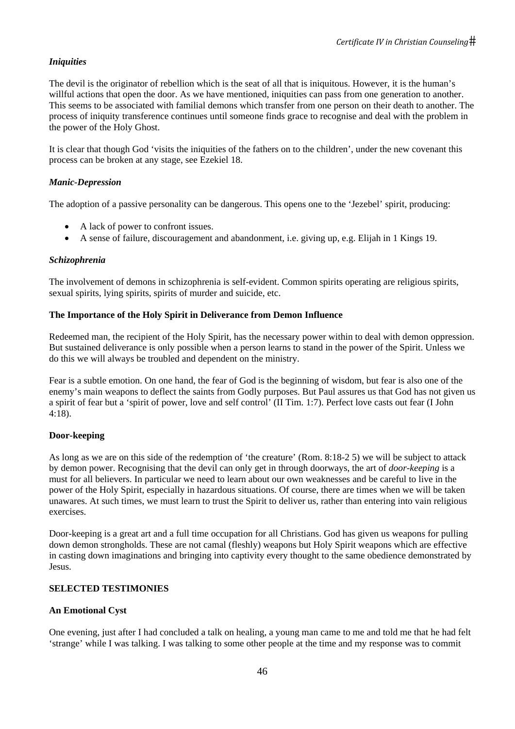# *Iniquities*

The devil is the originator of rebellion which is the seat of all that is iniquitous. However, it is the human's willful actions that open the door. As we have mentioned, iniquities can pass from one generation to another. This seems to be associated with familial demons which transfer from one person on their death to another. The process of iniquity transference continues until someone finds grace to recognise and deal with the problem in the power of the Holy Ghost.

It is clear that though God 'visits the iniquities of the fathers on to the children', under the new covenant this process can be broken at any stage, see Ezekiel 18.

# *Manic-Depression*

The adoption of a passive personality can be dangerous. This opens one to the 'Jezebel' spirit, producing:

- A lack of power to confront issues.
- A sense of failure, discouragement and abandonment, i.e. giving up, e.g. Elijah in 1 Kings 19.

## *Schizophrenia*

The involvement of demons in schizophrenia is self-evident. Common spirits operating are religious spirits, sexual spirits, lying spirits, spirits of murder and suicide, etc.

## **The Importance of the Holy Spirit in Deliverance from Demon Influence**

Redeemed man, the recipient of the Holy Spirit, has the necessary power within to deal with demon oppression. But sustained deliverance is only possible when a person learns to stand in the power of the Spirit. Unless we do this we will always be troubled and dependent on the ministry.

Fear is a subtle emotion. On one hand, the fear of God is the beginning of wisdom, but fear is also one of the enemy's main weapons to deflect the saints from Godly purposes. But Paul assures us that God has not given us a spirit of fear but a 'spirit of power, love and self control' (II Tim. 1:7). Perfect love casts out fear (I John 4:18).

# **Door-keeping**

As long as we are on this side of the redemption of 'the creature' (Rom. 8:18-2 5) we will be subject to attack by demon power. Recognising that the devil can only get in through doorways, the art of *door-keeping* is a must for all believers. In particular we need to learn about our own weaknesses and be careful to live in the power of the Holy Spirit, especially in hazardous situations. Of course, there are times when we will be taken unawares. At such times, we must learn to trust the Spirit to deliver us, rather than entering into vain religious exercises.

Door-keeping is a great art and a full time occupation for all Christians. God has given us weapons for pulling down demon strongholds. These are not camal (fleshly) weapons but Holy Spirit weapons which are effective in casting down imaginations and bringing into captivity every thought to the same obedience demonstrated by Jesus.

# **SELECTED TESTIMONIES**

# **An Emotional Cyst**

One evening, just after I had concluded a talk on healing, a young man came to me and told me that he had felt 'strange' while I was talking. I was talking to some other people at the time and my response was to commit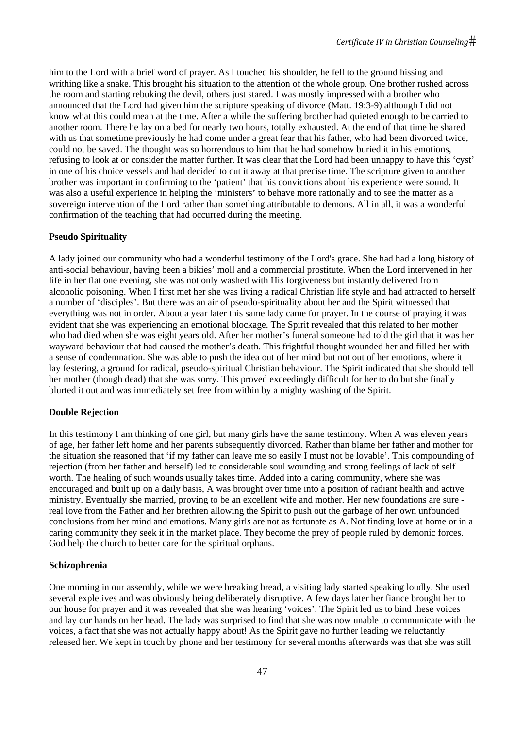him to the Lord with a brief word of prayer. As I touched his shoulder, he fell to the ground hissing and writhing like a snake. This brought his situation to the attention of the whole group. One brother rushed across the room and starting rebuking the devil, others just stared. I was mostly impressed with a brother who announced that the Lord had given him the scripture speaking of divorce (Matt. 19:3-9) although I did not know what this could mean at the time. After a while the suffering brother had quieted enough to be carried to another room. There he lay on a bed for nearly two hours, totally exhausted. At the end of that time he shared with us that sometime previously he had come under a great fear that his father, who had been divorced twice, could not be saved. The thought was so horrendous to him that he had somehow buried it in his emotions, refusing to look at or consider the matter further. It was clear that the Lord had been unhappy to have this 'cyst' in one of his choice vessels and had decided to cut it away at that precise time. The scripture given to another brother was important in confirming to the 'patient' that his convictions about his experience were sound. It was also a useful experience in helping the 'ministers' to behave more rationally and to see the matter as a sovereign intervention of the Lord rather than something attributable to demons. All in all, it was a wonderful confirmation of the teaching that had occurred during the meeting.

## **Pseudo Spirituality**

A lady joined our community who had a wonderful testimony of the Lord's grace. She had had a long history of anti-social behaviour, having been a bikies' moll and a commercial prostitute. When the Lord intervened in her life in her flat one evening, she was not only washed with His forgiveness but instantly delivered from alcoholic poisoning. When I first met her she was living a radical Christian life style and had attracted to herself a number of 'disciples'. But there was an air of pseudo-spirituality about her and the Spirit witnessed that everything was not in order. About a year later this same lady came for prayer. In the course of praying it was evident that she was experiencing an emotional blockage. The Spirit revealed that this related to her mother who had died when she was eight years old. After her mother's funeral someone had told the girl that it was her wayward behaviour that had caused the mother's death. This frightful thought wounded her and filled her with a sense of condemnation. She was able to push the idea out of her mind but not out of her emotions, where it lay festering, a ground for radical, pseudo-spiritual Christian behaviour. The Spirit indicated that she should tell her mother (though dead) that she was sorry. This proved exceedingly difficult for her to do but she finally blurted it out and was immediately set free from within by a mighty washing of the Spirit.

#### **Double Rejection**

In this testimony I am thinking of one girl, but many girls have the same testimony. When A was eleven years of age, her father left home and her parents subsequently divorced. Rather than blame her father and mother for the situation she reasoned that 'if my father can leave me so easily I must not be lovable'. This compounding of rejection (from her father and herself) led to considerable soul wounding and strong feelings of lack of self worth. The healing of such wounds usually takes time. Added into a caring community, where she was encouraged and built up on a daily basis, A was brought over time into a position of radiant health and active ministry. Eventually she married, proving to be an excellent wife and mother. Her new foundations are sure real love from the Father and her brethren allowing the Spirit to push out the garbage of her own unfounded conclusions from her mind and emotions. Many girls are not as fortunate as A. Not finding love at home or in a caring community they seek it in the market place. They become the prey of people ruled by demonic forces. God help the church to better care for the spiritual orphans.

#### **Schizophrenia**

One morning in our assembly, while we were breaking bread, a visiting lady started speaking loudly. She used several expletives and was obviously being deliberately disruptive. A few days later her fiance brought her to our house for prayer and it was revealed that she was hearing 'voices'. The Spirit led us to bind these voices and lay our hands on her head. The lady was surprised to find that she was now unable to communicate with the voices, a fact that she was not actually happy about! As the Spirit gave no further leading we reluctantly released her. We kept in touch by phone and her testimony for several months afterwards was that she was still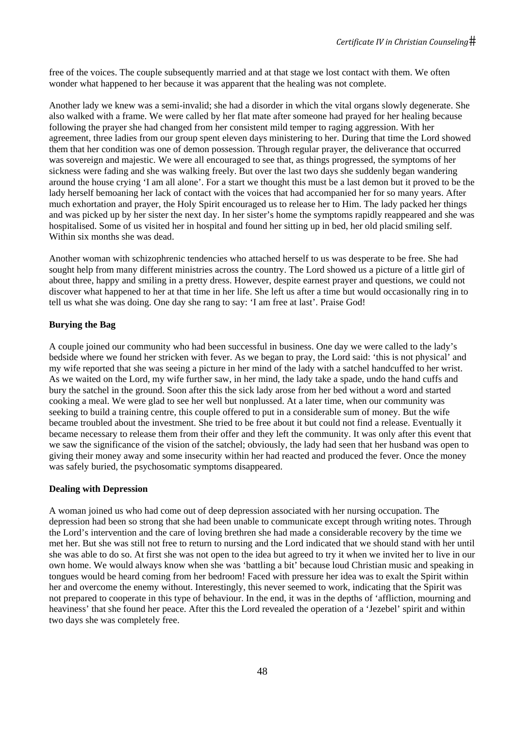free of the voices. The couple subsequently married and at that stage we lost contact with them. We often wonder what happened to her because it was apparent that the healing was not complete.

Another lady we knew was a semi-invalid; she had a disorder in which the vital organs slowly degenerate. She also walked with a frame. We were called by her flat mate after someone had prayed for her healing because following the prayer she had changed from her consistent mild temper to raging aggression. With her agreement, three ladies from our group spent eleven days ministering to her. During that time the Lord showed them that her condition was one of demon possession. Through regular prayer, the deliverance that occurred was sovereign and majestic. We were all encouraged to see that, as things progressed, the symptoms of her sickness were fading and she was walking freely. But over the last two days she suddenly began wandering around the house crying 'I am all alone'. For a start we thought this must be a last demon but it proved to be the lady herself bemoaning her lack of contact with the voices that had accompanied her for so many years. After much exhortation and prayer, the Holy Spirit encouraged us to release her to Him. The lady packed her things and was picked up by her sister the next day. In her sister's home the symptoms rapidly reappeared and she was hospitalised. Some of us visited her in hospital and found her sitting up in bed, her old placid smiling self. Within six months she was dead.

Another woman with schizophrenic tendencies who attached herself to us was desperate to be free. She had sought help from many different ministries across the country. The Lord showed us a picture of a little girl of about three, happy and smiling in a pretty dress. However, despite earnest prayer and questions, we could not discover what happened to her at that time in her life. She left us after a time but would occasionally ring in to tell us what she was doing. One day she rang to say: 'I am free at last'. Praise God!

# **Burying the Bag**

A couple joined our community who had been successful in business. One day we were called to the lady's bedside where we found her stricken with fever. As we began to pray, the Lord said: 'this is not physical' and my wife reported that she was seeing a picture in her mind of the lady with a satchel handcuffed to her wrist. As we waited on the Lord, my wife further saw, in her mind, the lady take a spade, undo the hand cuffs and bury the satchel in the ground. Soon after this the sick lady arose from her bed without a word and started cooking a meal. We were glad to see her well but nonplussed. At a later time, when our community was seeking to build a training centre, this couple offered to put in a considerable sum of money. But the wife became troubled about the investment. She tried to be free about it but could not find a release. Eventually it became necessary to release them from their offer and they left the community. It was only after this event that we saw the significance of the vision of the satchel; obviously, the lady had seen that her husband was open to giving their money away and some insecurity within her had reacted and produced the fever. Once the money was safely buried, the psychosomatic symptoms disappeared.

#### **Dealing with Depression**

A woman joined us who had come out of deep depression associated with her nursing occupation. The depression had been so strong that she had been unable to communicate except through writing notes. Through the Lord's intervention and the care of loving brethren she had made a considerable recovery by the time we met her. But she was still not free to return to nursing and the Lord indicated that we should stand with her until she was able to do so. At first she was not open to the idea but agreed to try it when we invited her to live in our own home. We would always know when she was 'battling a bit' because loud Christian music and speaking in tongues would be heard coming from her bedroom! Faced with pressure her idea was to exalt the Spirit within her and overcome the enemy without. Interestingly, this never seemed to work, indicating that the Spirit was not prepared to cooperate in this type of behaviour. In the end, it was in the depths of 'affliction, mourning and heaviness' that she found her peace. After this the Lord revealed the operation of a 'Jezebel' spirit and within two days she was completely free.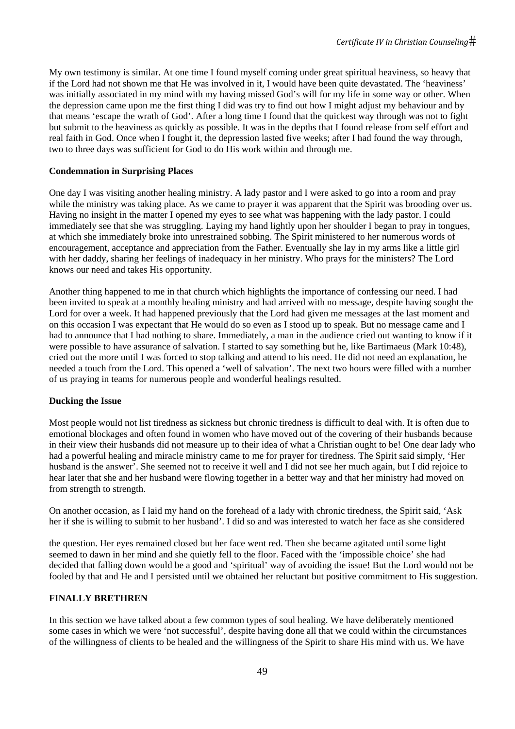My own testimony is similar. At one time I found myself coming under great spiritual heaviness, so heavy that if the Lord had not shown me that He was involved in it, I would have been quite devastated. The 'heaviness' was initially associated in my mind with my having missed God's will for my life in some way or other. When the depression came upon me the first thing I did was try to find out how I might adjust my behaviour and by that means 'escape the wrath of God'. After a long time I found that the quickest way through was not to fight but submit to the heaviness as quickly as possible. It was in the depths that I found release from self effort and real faith in God. Once when I fought it, the depression lasted five weeks; after I had found the way through, two to three days was sufficient for God to do His work within and through me.

#### **Condemnation in Surprising Places**

One day I was visiting another healing ministry. A lady pastor and I were asked to go into a room and pray while the ministry was taking place. As we came to prayer it was apparent that the Spirit was brooding over us. Having no insight in the matter I opened my eyes to see what was happening with the lady pastor. I could immediately see that she was struggling. Laying my hand lightly upon her shoulder I began to pray in tongues, at which she immediately broke into unrestrained sobbing. The Spirit ministered to her numerous words of encouragement, acceptance and appreciation from the Father. Eventually she lay in my arms like a little girl with her daddy, sharing her feelings of inadequacy in her ministry. Who prays for the ministers? The Lord knows our need and takes His opportunity.

Another thing happened to me in that church which highlights the importance of confessing our need. I had been invited to speak at a monthly healing ministry and had arrived with no message, despite having sought the Lord for over a week. It had happened previously that the Lord had given me messages at the last moment and on this occasion I was expectant that He would do so even as I stood up to speak. But no message came and I had to announce that I had nothing to share. Immediately, a man in the audience cried out wanting to know if it were possible to have assurance of salvation. I started to say something but he, like Bartimaeus (Mark 10:48), cried out the more until I was forced to stop talking and attend to his need. He did not need an explanation, he needed a touch from the Lord. This opened a 'well of salvation'. The next two hours were filled with a number of us praying in teams for numerous people and wonderful healings resulted.

#### **Ducking the Issue**

Most people would not list tiredness as sickness but chronic tiredness is difficult to deal with. It is often due to emotional blockages and often found in women who have moved out of the covering of their husbands because in their view their husbands did not measure up to their idea of what a Christian ought to be! One dear lady who had a powerful healing and miracle ministry came to me for prayer for tiredness. The Spirit said simply, 'Her husband is the answer'. She seemed not to receive it well and I did not see her much again, but I did rejoice to hear later that she and her husband were flowing together in a better way and that her ministry had moved on from strength to strength.

On another occasion, as I laid my hand on the forehead of a lady with chronic tiredness, the Spirit said, 'Ask her if she is willing to submit to her husband'. I did so and was interested to watch her face as she considered

the question. Her eyes remained closed but her face went red. Then she became agitated until some light seemed to dawn in her mind and she quietly fell to the floor. Faced with the 'impossible choice' she had decided that falling down would be a good and 'spiritual' way of avoiding the issue! But the Lord would not be fooled by that and He and I persisted until we obtained her reluctant but positive commitment to His suggestion.

#### **FINALLY BRETHREN**

In this section we have talked about a few common types of soul healing. We have deliberately mentioned some cases in which we were 'not successful', despite having done all that we could within the circumstances of the willingness of clients to be healed and the willingness of the Spirit to share His mind with us. We have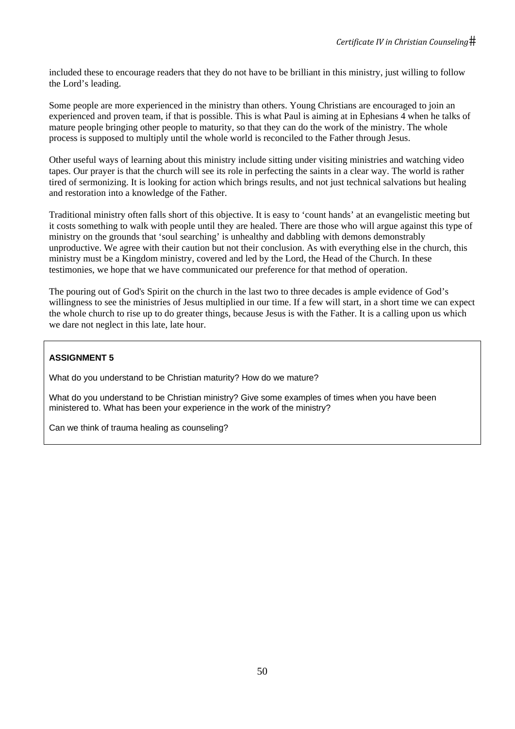included these to encourage readers that they do not have to be brilliant in this ministry, just willing to follow the Lord's leading.

Some people are more experienced in the ministry than others. Young Christians are encouraged to join an experienced and proven team, if that is possible. This is what Paul is aiming at in Ephesians 4 when he talks of mature people bringing other people to maturity, so that they can do the work of the ministry. The whole process is supposed to multiply until the whole world is reconciled to the Father through Jesus.

Other useful ways of learning about this ministry include sitting under visiting ministries and watching video tapes. Our prayer is that the church will see its role in perfecting the saints in a clear way. The world is rather tired of sermonizing. It is looking for action which brings results, and not just technical salvations but healing and restoration into a knowledge of the Father.

Traditional ministry often falls short of this objective. It is easy to 'count hands' at an evangelistic meeting but it costs something to walk with people until they are healed. There are those who will argue against this type of ministry on the grounds that 'soul searching' is unhealthy and dabbling with demons demonstrably unproductive. We agree with their caution but not their conclusion. As with everything else in the church, this ministry must be a Kingdom ministry, covered and led by the Lord, the Head of the Church. In these testimonies, we hope that we have communicated our preference for that method of operation.

The pouring out of God's Spirit on the church in the last two to three decades is ample evidence of God's willingness to see the ministries of Jesus multiplied in our time. If a few will start, in a short time we can expect the whole church to rise up to do greater things, because Jesus is with the Father. It is a calling upon us which we dare not neglect in this late, late hour.

# **ASSIGNMENT 5**

What do you understand to be Christian maturity? How do we mature?

What do you understand to be Christian ministry? Give some examples of times when you have been ministered to. What has been your experience in the work of the ministry?

Can we think of trauma healing as counseling?